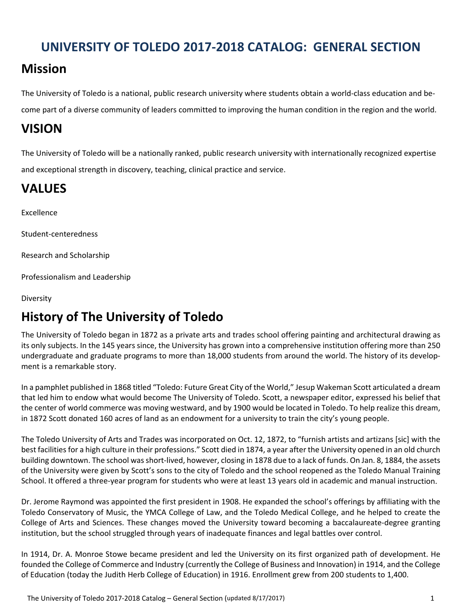# **UNIVERSITY OF TOLEDO 2017‐2018 CATALOG: GENERAL SECTION**

# **Mission**

The University of Toledo is a national, public research university where students obtain a world‐class education and be‐ come part of a diverse community of leaders committed to improving the human condition in the region and the world.

# **VISION**

The University of Toledo will be a nationally ranked, public research university with internationally recognized expertise and exceptional strength in discovery, teaching, clinical practice and service.

# **VALUES**

Excellence

Student‐centeredness

Research and Scholarship

Professionalism and Leadership

Diversity

# **History of The University of Toledo**

he University of Toledo began in 1872 as a private arts and trades school offering painting and architectural drawing as Tits only subjects. In the 145 years since, the University has grown into a comprehensive institution offering more than 250 undergraduate and graduate programs to more than 18,000 students from around the world. The history of its development is a remarkable story.

In a pamphlet published in 1868 titled "Toledo: Future Great City of the World," Jesup Wakeman Scott articulated a dream that led him to endow what would become The University of Toledo. Scott, a newspaper editor, expressed his belief that the center of world commerce was moving westward, and by 1900 would be located in Toledo. To help realize this dream, in 1872 Scott donated 160 acres of land as an endowment for a university to train the city's young people.

The Toledo University of Arts and Trades was incorporated on Oct. 12, 1872, to "furnish artists and artizans [sic] with the best facilities for a high culture in their professions." Scott died in 1874, a year after the University opened in an old church building downtown. The school wasshort‐lived, however, closing in 1878 due to a lack of funds. On Jan. 8, 1884, the assets of the University were given by Scott's sons to the city of Toledo and the school reopened as the Toledo Manual Training School. It offered a three‐year program for students who were at least 13 years old in academic and manual instruction.

Dr. Jerome Raymond was appointed the first president in 1908. He expanded the school's offerings by affiliating with the Toledo Conservatory of Music, the YMCA College of Law, and the Toledo Medical College, and he helped to create the College of Arts and Sciences. These changes moved the University toward becoming a baccalaureate‐degree granting institution, but the school struggled through years of inadequate finances and legal battles over control.

In 1914, Dr. A. Monroe Stowe became president and led the University on its first organized path of development. He founded the College of Commerce and Industry (currently the College of Business and Innovation) in 1914, and the College of Education (today the Judith Herb College of Education) in 1916. Enrollment grew from 200 students to 1,400.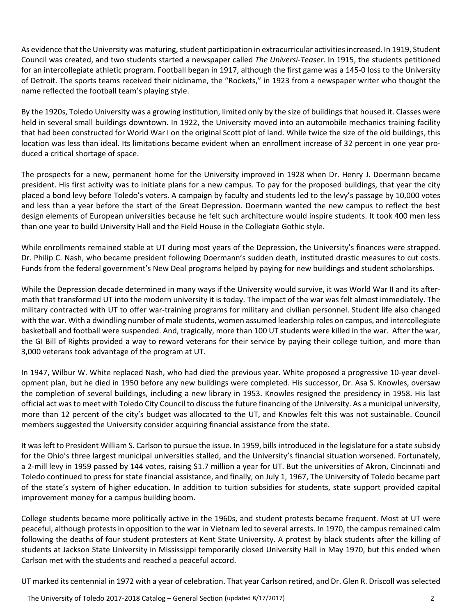As evidence that the University was maturing, student participation in extracurricular activities increased. In 1919, Student Council was created, and two students started a newspaper called *The Universi‐Teaser*. In 1915, the students petitioned for an intercollegiate athletic program. Football began in 1917, although the first game was a 145-0 loss to the University of Detroit. The sports teams received their nickname, the "Rockets," in 1923 from a newspaper writer who thought the name reflected the football team's playing style.

By the 1920s, Toledo University was a growing institution, limited only by the size of buildings that housed it. Classes were held in several small buildings downtown. In 1922, the University moved into an automobile mechanics training facility that had been constructed for World War I on the original Scott plot of land. While twice the size of the old buildings, this location was less than ideal. Its limitations became evident when an enrollment increase of 32 percent in one year produced a critical shortage of space.

The prospects for a new, permanent home for the University improved in 1928 when Dr. Henry J. Doermann became president. His first activity was to initiate plans for a new campus. To pay for the proposed buildings, that year the city placed a bond levy before Toledo's voters. A campaign by faculty and students led to the levy's passage by 10,000 votes and less than a year before the start of the Great Depression. Doermann wanted the new campus to reflect the best design elements of European universities because he felt such architecture would inspire students. It took 400 men less than one year to build University Hall and the Field House in the Collegiate Gothic style.

While enrollments remained stable at UT during most years of the Depression, the University's finances were strapped. Dr. Philip C. Nash, who became president following Doermann's sudden death, instituted drastic measures to cut costs. Funds from the federal government's New Deal programs helped by paying for new buildings and student scholarships.

While the Depression decade determined in many ways if the University would survive, it was World War II and its aftermath that transformed UT into the modern university it is today. The impact of the war was felt almost immediately. The military contracted with UT to offer war‐training programs for military and civilian personnel. Student life also changed with the war. With a dwindling number of male students, women assumed leadership roles on campus, and intercollegiate basketball and football were suspended. And, tragically, more than 100 UT students were killed in the war. After the war, the GI Bill of Rights provided a way to reward veterans for their service by paying their college tuition, and more than 3,000 veterans took advantage of the program at UT.

In 1947, Wilbur W. White replaced Nash, who had died the previous year. White proposed a progressive 10-year development plan, but he died in 1950 before any new buildings were completed. His successor, Dr. Asa S. Knowles, oversaw the completion of several buildings, including a new library in 1953. Knowles resigned the presidency in 1958. His last official act wasto meet with Toledo City Council to discussthe future financing of the University. As a municipal university, more than 12 percent of the city's budget was allocated to the UT, and Knowles felt this was not sustainable. Council members suggested the University consider acquiring financial assistance from the state.

It was left to President William S. Carlson to pursue the issue. In 1959, bills introduced in the legislature for a state subsidy for the Ohio's three largest municipal universities stalled, and the University's financial situation worsened. Fortunately, a 2‐mill levy in 1959 passed by 144 votes, raising \$1.7 million a year for UT. But the universities of Akron, Cincinnati and Toledo continued to press for state financial assistance, and finally, on July 1, 1967, The University of Toledo became part of the state's system of higher education. In addition to tuition subsidies for students, state support provided capital improvement money for a campus building boom.

College students became more politically active in the 1960s, and student protests became frequent. Most at UT were peaceful, although protests in opposition to the war in Vietnam led to several arrests. In 1970, the campus remained calm following the deaths of four student protesters at Kent State University. A protest by black students after the killing of students at Jackson State University in Mississippi temporarily closed University Hall in May 1970, but this ended when Carlson met with the students and reached a peaceful accord.

UT marked its centennial in 1972 with a year of celebration. That year Carlson retired, and Dr. Glen R. Driscoll wasselected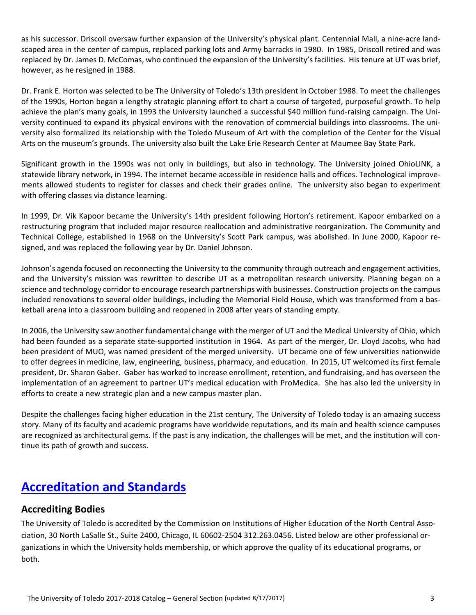as his successor. Driscoll oversaw further expansion of the University's physical plant. Centennial Mall, a nine-acre landscaped area in the center of campus, replaced parking lots and Army barracks in 1980. In 1985, Driscoll retired and was replaced by Dr. James D. McComas, who continued the expansion of the University's facilities. His tenure at UT was brief, however, as he resigned in 1988.

Dr. Frank E. Horton was selected to be The University of Toledo's 13th president in October 1988. To meet the challenges of the 1990s, Horton began a lengthy strategic planning effort to chart a course of targeted, purposeful growth. To help achieve the plan's many goals, in 1993 the University launched a successful \$40 million fund-raising campaign. The University continued to expand its physical environs with the renovation of commercial buildings into classrooms. The uni‐ versity also formalized its relationship with the Toledo Museum of Art with the completion of the Center for the Visual Arts on the museum's grounds. The university also built the Lake Erie Research Center at Maumee Bay State Park.

Significant growth in the 1990s was not only in buildings, but also in technology. The University joined OhioLINK, a statewide library network, in 1994. The internet became accessible in residence halls and offices. Technological improve‐ ments allowed students to register for classes and check their grades online. The university also began to experiment with offering classes via distance learning.

In 1999, Dr. Vik Kapoor became the University's 14th president following Horton's retirement. Kapoor embarked on a restructuring program that included major resource reallocation and administrative reorganization. The Community and Technical College, established in 1968 on the University's Scott Park campus, was abolished. In June 2000, Kapoor re‐ signed, and was replaced the following year by Dr. Daniel Johnson.

Johnson's agenda focused on reconnecting the University to the community through outreach and engagement activities, and the University's mission was rewritten to describe UT as a metropolitan research university. Planning began on a science and technology corridor to encourage research partnerships with businesses. Construction projects on the campus included renovations to several older buildings, including the Memorial Field House, which was transformed from a bas‐ ketball arena into a classroom building and reopened in 2008 after years of standing empty.

In 2006, the University saw another fundamental change with the merger of UT and the Medical University of Ohio, which had been founded as a separate state-supported institution in 1964. As part of the merger, Dr. Lloyd Jacobs, who had been president of MUO, was named president of the merged university. UT became one of few universities nationwide to offer degrees in medicine, law, engineering, business, pharmacy, and education. In 2015, UT welcomed its first female president, Dr. Sharon Gaber. Gaber has worked to increase enrollment, retention, and fundraising, and has overseen the implementation of an agreement to partner UT's medical education with ProMedica. She has also led the university in efforts to create a new strategic plan and a new campus master plan.

Despite the challenges facing higher education in the 21st century, The University of Toledo today is an amazing success story. Many of its faculty and academic programs have worldwide reputations, and its main and health science campuses are recognized as architectural gems. If the past is any indication, the challenges will be met, and the institution will continue its path of growth and success.

# **Accreditation and Standards**

### **Accrediting Bodies**

The University of Toledo is accredited by the Commission on Institutions of Higher Education of the North Central Association, 30 North LaSalle St., Suite 2400, Chicago, IL 60602‐2504 312.263.0456. Listed below are other professional or‐ ganizations in which the University holds membership, or which approve the quality of its educational programs, or both.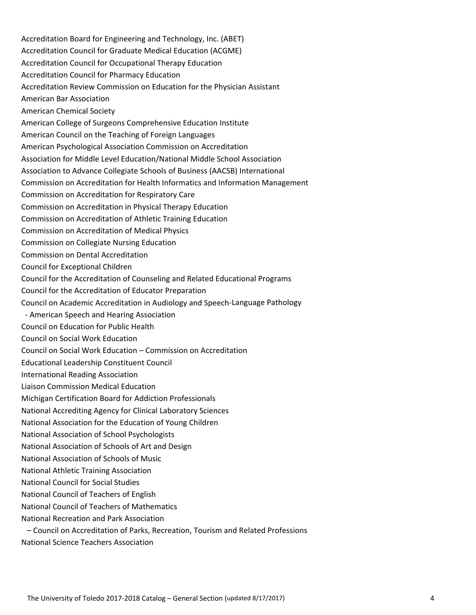Accreditation Board for Engineering and Technology, Inc. (ABET) Accreditation Council for Graduate Medical Education (ACGME) Accreditation Council for Occupational Therapy Education Accreditation Council for Pharmacy Education Accreditation Review Commission on Education for the Physician Assistant American Bar Association American Chemical Society American College of Surgeons Comprehensive Education Institute American Council on the Teaching of Foreign Languages American Psychological Association Commission on Accreditation Association for Middle Level Education/National Middle School Association Association to Advance Collegiate Schools of Business (AACSB) International Commission on Accreditation for Health Informatics and Information Management Commission on Accreditation for Respiratory Care Commission on Accreditation in Physical Therapy Education Commission on Accreditation of Athletic Training Education Commission on Accreditation of Medical Physics Commission on Collegiate Nursing Education Commission on Dental Accreditation Council for Exceptional Children Council for the Accreditation of Counseling and Related Educational Programs Council for the Accreditation of Educator Preparation Council on Academic Accreditation in Audiology and Speech‐Language Pathology ‐ American Speech and Hearing Association Council on Education for Public Health Council on Social Work Education Council on Social Work Education – Commission on Accreditation Educational Leadership Constituent Council International Reading Association Liaison Commission Medical Education Michigan Certification Board for Addiction Professionals National Accrediting Agency for Clinical Laboratory Sciences National Association for the Education of Young Children National Association of School Psychologists National Association of Schools of Art and Design National Association of Schools of Music National Athletic Training Association National Council for Social Studies National Council of Teachers of English National Council of Teachers of Mathematics National Recreation and Park Association

– Council on Accreditation of Parks, Recreation, Tourism and Related Professions

National Science Teachers Association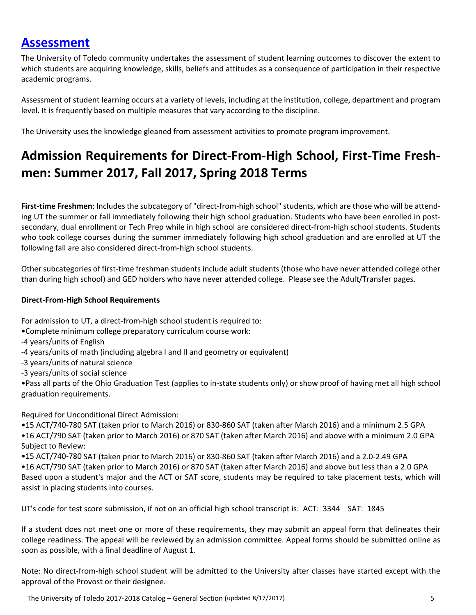# **Assessment**

The University of Toledo community undertakes the assessment of student learning outcomes to discover the extent to which students are acquiring knowledge, skills, beliefs and attitudes as a consequence of participation in their respective academic programs.

Assessment of student learning occurs at a variety of levels, including at the institution, college, department and program level. It is frequently based on multiple measures that vary according to the discipline.

The University uses the knowledge gleaned from assessment activities to promote program improvement.

# **Admission Requirements for Direct‐From‐High School, First‐Time Fresh‐ men: Summer 2017, Fall 2017, Spring 2018 Terms**

**First‐time Freshmen**: Includes the subcategory of "direct‐from‐high school" students, which are those who will be attend‐ ing UT the summer or fall immediately following their high school graduation. Students who have been enrolled in postsecondary, dual enrollment or Tech Prep while in high school are considered direct-from-high school students. Students who took college courses during the summer immediately following high school graduation and are enrolled at UT the following fall are also considered direct‐from‐high school students.

Other subcategories of first-time freshman students include adult students (those who have never attended college other than during high school) and GED holders who have never attended college. Please see the Adult/Transfer pages.

#### **Direct‐From‐High School Requirements**

For admission to UT, a direct-from-high school student is required to:

- •Complete minimum college preparatory curriculum course work:
- ‐4 years/units of English
- ‐4 years/units of math (including algebra I and II and geometry or equivalent)
- ‐3 years/units of natural science
- ‐3 years/units of social science

•Pass all parts of the Ohio Graduation Test (applies to in‐state students only) or show proof of having met all high school graduation requirements.

Required for Unconditional Direct Admission:

•15 ACT/740‐780 SAT (taken prior to March 2016) or 830‐860 SAT (taken after March 2016) and a minimum 2.5 GPA •16 ACT/790 SAT (taken prior to March 2016) or 870 SAT (taken after March 2016) and above with a minimum 2.0 GPA Subject to Review:

•15 ACT/740‐780 SAT (taken prior to March 2016) or 830‐860 SAT (taken after March 2016) and a 2.0‐2.49 GPA

•16 ACT/790 SAT (taken prior to March 2016) or 870 SAT (taken after March 2016) and above but less than a 2.0 GPA Based upon a student's major and the ACT or SAT score, students may be required to take placement tests, which will assist in placing students into courses.

UT's code for test score submission, if not on an official high school transcript is: ACT: 3344 SAT: 1845

If a student does not meet one or more of these requirements, they may submit an appeal form that delineates their college readiness. The appeal will be reviewed by an admission committee. Appeal forms should be submitted online as soon as possible, with a final deadline of August 1.

Note: No direct-from-high school student will be admitted to the University after classes have started except with the approval of the Provost or their designee.

The University of Toledo 2017‐2018 Catalog – General Section (updated 8/17/2017) 5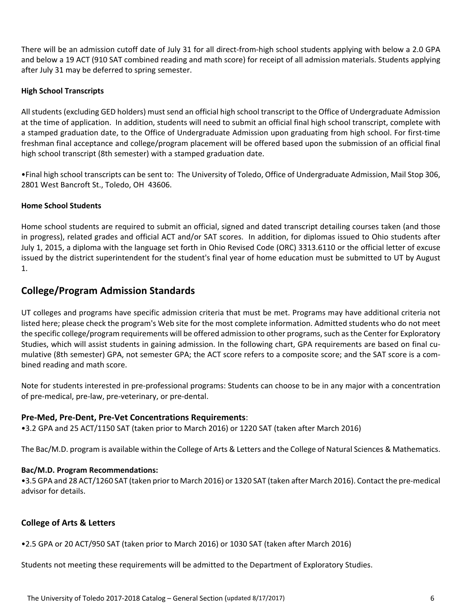There will be an admission cutoff date of July 31 for all direct‐from‐high school students applying with below a 2.0 GPA and below a 19 ACT (910 SAT combined reading and math score) for receipt of all admission materials. Students applying after July 31 may be deferred to spring semester.

#### **High School Transcripts**

All students (excluding GED holders) must send an official high school transcript to the Office of Undergraduate Admission at the time of application. In addition, students will need to submit an official final high school transcript, complete with a stamped graduation date, to the Office of Undergraduate Admission upon graduating from high school. For first‐time freshman final acceptance and college/program placement will be offered based upon the submission of an official final high school transcript (8th semester) with a stamped graduation date.

•Final high school transcripts can be sent to: The University of Toledo, Office of Undergraduate Admission, Mail Stop 306, 2801 West Bancroft St., Toledo, OH 43606.

#### **Home School Students**

Home school students are required to submit an official, signed and dated transcript detailing courses taken (and those in progress), related grades and official ACT and/or SAT scores. In addition, for diplomas issued to Ohio students after July 1, 2015, a diploma with the language set forth in Ohio Revised Code (ORC) 3313.6110 or the official letter of excuse issued by the district superintendent for the student's final year of home education must be submitted to UT by August 1.

### **College/Program Admission Standards**

UT colleges and programs have specific admission criteria that must be met. Programs may have additional criteria not listed here; please check the program's Web site for the most complete information. Admitted students who do not meet the specific college/program requirements will be offered admission to other programs, such as the Center for Exploratory Studies, which will assist students in gaining admission. In the following chart, GPA requirements are based on final cu‐ mulative (8th semester) GPA, not semester GPA; the ACT score refers to a composite score; and the SAT score is a combined reading and math score.

Note for students interested in pre‐professional programs: Students can choose to be in any major with a concentration of pre‐medical, pre‐law, pre‐veterinary, or pre‐dental.

#### **Pre‐Med, Pre‐Dent, Pre‐Vet Concentrations Requirements**:

•3.2 GPA and 25 ACT/1150 SAT (taken prior to March 2016) or 1220 SAT (taken after March 2016)

The Bac/M.D. program is available within the College of Arts & Letters and the College of Natural Sciences & Mathematics.

#### **Bac/M.D. Program Recommendations:**

•3.5 GPA and 28 ACT/1260 SAT (taken priorto March 2016) or 1320 SAT (taken after March 2016). Contact the pre‐medical advisor for details.

### **College of Arts & Letters**

•2.5 GPA or 20 ACT/950 SAT (taken prior to March 2016) or 1030 SAT (taken after March 2016)

Students not meeting these requirements will be admitted to the Department of Exploratory Studies.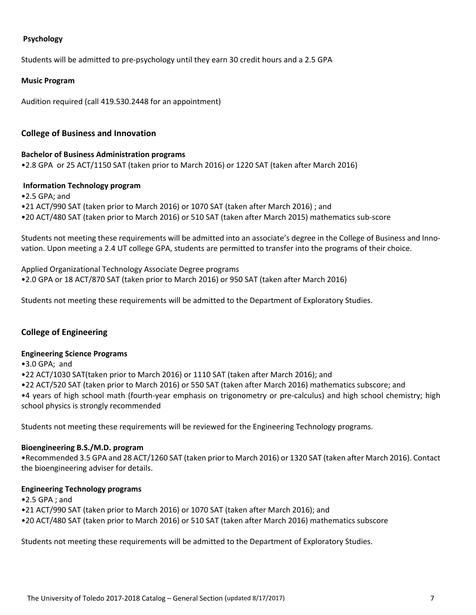#### **Psychology**

Students will be admitted to pre‐psychology until they earn 30 credit hours and a 2.5 GPA

#### **Music Program**

Audition required (call 419.530.2448 for an appointment)

#### **College of Business and Innovation**

#### **Bachelor of Business Administration programs**

•2.8 GPA or 25 ACT/1150 SAT (taken prior to March 2016) or 1220 SAT (taken after March 2016)

#### **Information Technology program**

•2.5 GPA; and

•21 ACT/990 SAT (taken prior to March 2016) or 1070 SAT (taken after March 2016) ; and

•20 ACT/480 SAT (taken prior to March 2016) or 510 SAT (taken after March 2015) mathematics sub‐score

Students not meeting these requirements will be admitted into an associate's degree in the College of Business and Inno‐ vation. Upon meeting a 2.4 UT college GPA, students are permitted to transfer into the programs of their choice.

Applied Organizational Technology Associate Degree programs

•2.0 GPA or 18 ACT/870 SAT (taken prior to March 2016) or 950 SAT (taken after March 2016)

Students not meeting these requirements will be admitted to the Department of Exploratory Studies.

#### **College of Engineering**

#### **Engineering Science Programs**

•3.0 GPA; and

•22 ACT/1030 SAT(taken prior to March 2016) or 1110 SAT (taken after March 2016); and

•22 ACT/520 SAT (taken prior to March 2016) or 550 SAT (taken after March 2016) mathematics subscore; and

•4 years of high school math (fourth‐year emphasis on trigonometry or pre‐calculus) and high school chemistry; high school physics is strongly recommended

Students not meeting these requirements will be reviewed for the Engineering Technology programs.

#### **Bioengineering B.S./M.D. program**

•Recommended 3.5 GPA and 28 ACT/1260 SAT (taken prior to March 2016) or 1320 SAT (taken after March 2016). Contact the bioengineering adviser for details.

#### **Engineering Technology programs**

•2.5 GPA ; and

•21 ACT/990 SAT (taken prior to March 2016) or 1070 SAT (taken after March 2016); and

•20 ACT/480 SAT (taken prior to March 2016) or 510 SAT (taken after March 2016) mathematics subscore

Students not meeting these requirements will be admitted to the Department of Exploratory Studies.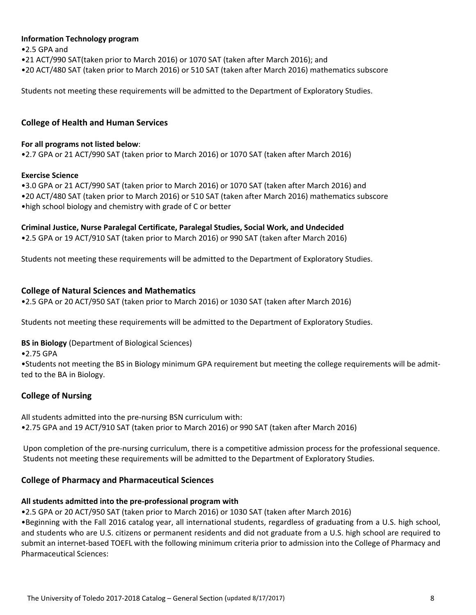#### **Information Technology program**

•2.5 GPA and

- •21 ACT/990 SAT(taken prior to March 2016) or 1070 SAT (taken after March 2016); and
- •20 ACT/480 SAT (taken prior to March 2016) or 510 SAT (taken after March 2016) mathematics subscore

Students not meeting these requirements will be admitted to the Department of Exploratory Studies.

#### **College of Health and Human Services**

#### **For all programs not listed below**:

•2.7 GPA or 21 ACT/990 SAT (taken prior to March 2016) or 1070 SAT (taken after March 2016)

#### **Exercise Science**

•3.0 GPA or 21 ACT/990 SAT (taken prior to March 2016) or 1070 SAT (taken after March 2016) and

•20 ACT/480 SAT (taken prior to March 2016) or 510 SAT (taken after March 2016) mathematics subscore •high school biology and chemistry with grade of C or better

#### **Criminal Justice, Nurse Paralegal Certificate, Paralegal Studies, Social Work, and Undecided**

•2.5 GPA or 19 ACT/910 SAT (taken prior to March 2016) or 990 SAT (taken after March 2016)

Students not meeting these requirements will be admitted to the Department of Exploratory Studies.

### **College of Natural Sciences and Mathematics**

•2.5 GPA or 20 ACT/950 SAT (taken prior to March 2016) or 1030 SAT (taken after March 2016)

Students not meeting these requirements will be admitted to the Department of Exploratory Studies.

**BS in Biology** (Department of Biological Sciences)

•2.75 GPA

•Students not meeting the BS in Biology minimum GPA requirement but meeting the college requirements will be admit‐ ted to the BA in Biology.

### **College of Nursing**

All students admitted into the pre‐nursing BSN curriculum with:

•2.75 GPA and 19 ACT/910 SAT (taken prior to March 2016) or 990 SAT (taken after March 2016)

Upon completion of the pre‐nursing curriculum, there is a competitive admission process for the professional sequence. Students not meeting these requirements will be admitted to the Department of Exploratory Studies.

### **College of Pharmacy and Pharmaceutical Sciences**

### **All students admitted into the pre‐professional program with**

•2.5 GPA or 20 ACT/950 SAT (taken prior to March 2016) or 1030 SAT (taken after March 2016)

•Beginning with the Fall 2016 catalog year, all international students, regardless of graduating from a U.S. high school, and students who are U.S. citizens or permanent residents and did not graduate from a U.S. high school are required to submit an internet-based TOEFL with the following minimum criteria prior to admission into the College of Pharmacy and Pharmaceutical Sciences: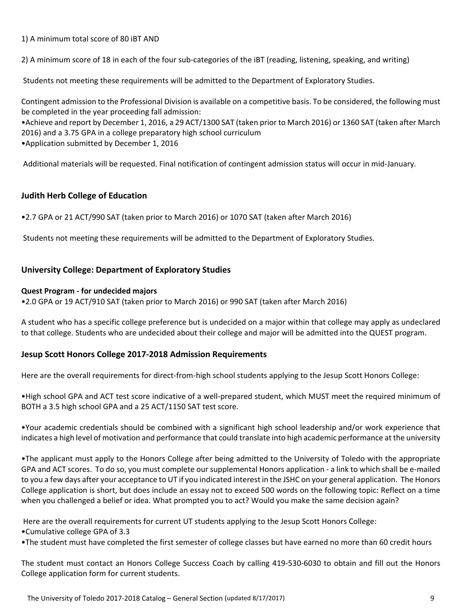1) A minimum total score of 80 iBT AND

2) A minimum score of 18 in each of the four sub-categories of the iBT (reading, listening, speaking, and writing)

Students not meeting these requirements will be admitted to the Department of Exploratory Studies.

Contingent admission to the Professional Division is available on a competitive basis. To be considered, the following must be completed in the year proceeding fall admission:

•Achieve and report by December 1, 2016, a 29 ACT/1300 SAT (taken prior to March 2016) or 1360 SAT (taken after March 2016) and a 3.75 GPA in a college preparatory high school curriculum

•Application submitted by December 1, 2016

Additional materials will be requested. Final notification of contingent admission status will occur in mid‐January.

### **Judith Herb College of Education**

•2.7 GPA or 21 ACT/990 SAT (taken prior to March 2016) or 1070 SAT (taken after March 2016)

Students not meeting these requirements will be admitted to the Department of Exploratory Studies.

### **University College: Department of Exploratory Studies**

#### **Quest Program ‐ for undecided majors**

•2.0 GPA or 19 ACT/910 SAT (taken prior to March 2016) or 990 SAT (taken after March 2016)

A student who has a specific college preference but is undecided on a major within that college may apply as undeclared to that college. Students who are undecided about their college and major will be admitted into the QUEST program.

### **Jesup Scott Honors College 2017‐2018 Admission Requirements**

Here are the overall requirements for direct-from-high school students applying to the Jesup Scott Honors College:

•High school GPA and ACT test score indicative of a well‐prepared student, which MUST meet the required minimum of BOTH a 3.5 high school GPA and a 25 ACT/1150 SAT test score.

•Your academic credentials should be combined with a significant high school leadership and/or work experience that indicates a high level of motivation and performance that could translate into high academic performance at the university

•The applicant must apply to the Honors College after being admitted to the University of Toledo with the appropriate GPA and ACT scores. To do so, you must complete our supplemental Honors application ‐ a link to which shall be e‐mailed to you a few days after your acceptance to UT if you indicated interest in the JSHC on your general application. The Honors College application is short, but does include an essay not to exceed 500 words on the following topic: Reflect on a time when you challenged a belief or idea. What prompted you to act? Would you make the same decision again?

Here are the overall requirements for current UT students applying to the Jesup Scott Honors College:

•Cumulative college GPA of 3.3

•The student must have completed the first semester of college classes but have earned no more than 60 credit hours

The student must contact an Honors College Success Coach by calling 419‐530‐6030 to obtain and fill out the Honors College application form for current students.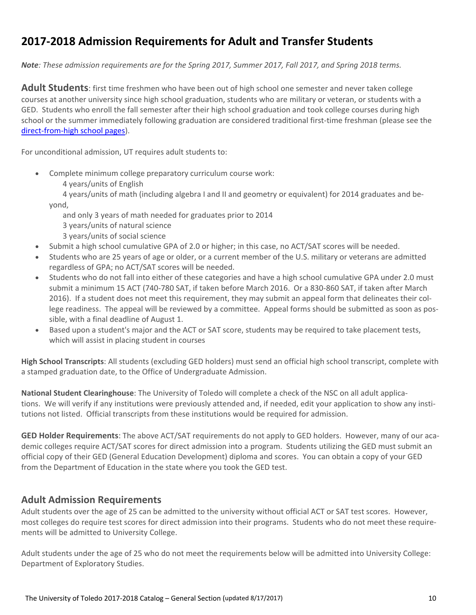## **2017‐2018 Admission Requirements for Adult and Transfer Students**

Note: These admission requirements are for the Spring 2017, Summer 2017, Fall 2017, and Spring 2018 terms.

**Adult Students**: first time freshmen who have been out of high school one semester and never taken college courses at another university since high school graduation, students who are military or veteran, or students with a GED. Students who enroll the fall semester after their high school graduation and took college courses during high school or the summer immediately following graduation are considered traditional first-time freshman (please see the direct‐from‐high school pages).

For unconditional admission, UT requires adult students to:

- Complete minimum college preparatory curriculum course work:
	- 4 years/units of English

 4 years/units of math (including algebra I and II and geometry or equivalent) for 2014 graduates and be‐ yond,

and only 3 years of math needed for graduates prior to 2014

- 3 years/units of natural science
- 3 years/units of social science
- Submit a high school cumulative GPA of 2.0 or higher; in this case, no ACT/SAT scores will be needed.
- Students who are 25 years of age or older, or a current member of the U.S. military or veterans are admitted regardless of GPA; no ACT/SAT scores will be needed.
- Students who do not fall into either of these categories and have a high school cumulative GPA under 2.0 must submit a minimum 15 ACT (740‐780 SAT, if taken before March 2016. Or a 830‐860 SAT, if taken after March 2016). If a student does not meet this requirement, they may submit an appeal form that delineates their college readiness. The appeal will be reviewed by a committee. Appeal forms should be submitted as soon as pos‐ sible, with a final deadline of August 1.
- Based upon a student's major and the ACT or SAT score, students may be required to take placement tests, which will assist in placing student in courses

**High School Transcripts**: All students (excluding GED holders) must send an official high school transcript, complete with a stamped graduation date, to the Office of Undergraduate Admission.

**National Student Clearinghouse**: The University of Toledo will complete a check of the NSC on all adult applica‐ tions. We will verify if any institutions were previously attended and, if needed, edit your application to show any institutions not listed. Official transcripts from these institutions would be required for admission.

**GED Holder Requirements**: The above ACT/SAT requirements do not apply to GED holders. However, many of our aca‐ demic colleges require ACT/SAT scores for direct admission into a program. Students utilizing the GED must submit an official copy of their GED (General Education Development) diploma and scores. You can obtain a copy of your GED from the Department of Education in the state where you took the GED test.

### **Adult Admission Requirements**

Adult students over the age of 25 can be admitted to the university without official ACT or SAT test scores. However, most colleges do require test scores for direct admission into their programs. Students who do not meet these requirements will be admitted to University College.

Adult students under the age of 25 who do not meet the requirements below will be admitted into University College: Department of Exploratory Studies.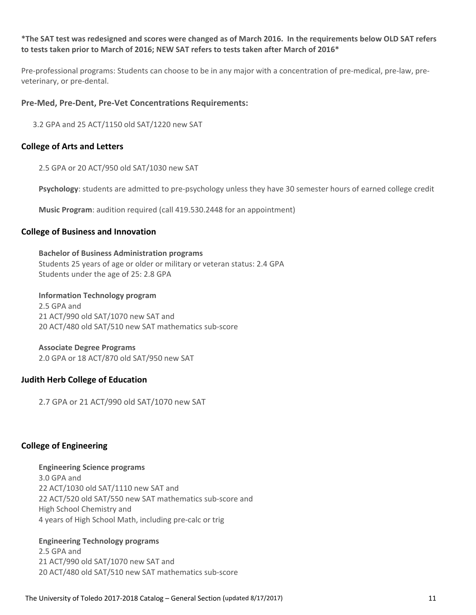#### \*The SAT test was redesigned and scores were changed as of March 2016. In the requirements below OLD SAT refers **to tests taken prior to March of 2016; NEW SAT refers to tests taken after March of 2016\***

Pre-professional programs: Students can choose to be in any major with a concentration of pre-medical, pre-law, preveterinary, or pre‐dental.

#### **Pre‐Med, Pre‐Dent, Pre‐Vet Concentrations Requirements:**

3.2 GPA and 25 ACT/1150 old SAT/1220 new SAT

#### **College of Arts and Letters**

2.5 GPA or 20 ACT/950 old SAT/1030 new SAT

**Psychology**: students are admitted to pre‐psychology unless they have 30 semester hours of earned college credit

**Music Program**: audition required (call 419.530.2448 for an appointment)

#### **College of Business and Innovation**

**Bachelor of Business Administration programs**

Students 25 years of age or older or military or veteran status: 2.4 GPA Students under the age of 25: 2.8 GPA

#### **Information Technology program**

2.5 GPA and 21 ACT/990 old SAT/1070 new SAT and 20 ACT/480 old SAT/510 new SAT mathematics sub‐score

#### **Associate Degree Programs**

2.0 GPA or 18 ACT/870 old SAT/950 new SAT

#### **Judith Herb College of Education**

2.7 GPA or 21 ACT/990 old SAT/1070 new SAT

### **College of Engineering**

#### **Engineering Science programs**

3.0 GPA and 22 ACT/1030 old SAT/1110 new SAT and 22 ACT/520 old SAT/550 new SAT mathematics sub‐score and High School Chemistry and 4 years of High School Math, including pre‐calc or trig

#### **Engineering Technology programs**

2.5 GPA and 21 ACT/990 old SAT/1070 new SAT and 20 ACT/480 old SAT/510 new SAT mathematics sub‐score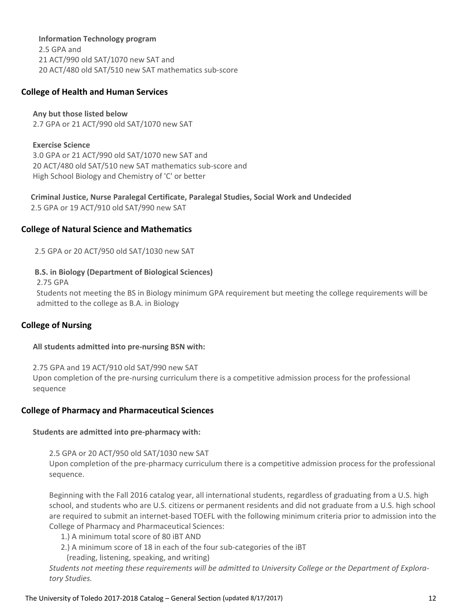#### **Information Technology program**

2.5 GPA and 21 ACT/990 old SAT/1070 new SAT and 20 ACT/480 old SAT/510 new SAT mathematics sub‐score

#### **College of Health and Human Services**

 **Any but those listed below** 2.7 GPA or 21 ACT/990 old SAT/1070 new SAT

 **Exercise Science** 3.0 GPA or 21 ACT/990 old SAT/1070 new SAT and 20 ACT/480 old SAT/510 new SAT mathematics sub‐score and High School Biology and Chemistry of 'C' or better

 **Criminal Justice, Nurse Paralegal Certificate, Paralegal Studies, Social Work and Undecided** 2.5 GPA or 19 ACT/910 old SAT/990 new SAT

#### **College of Natural Science and Mathematics**

2.5 GPA or 20 ACT/950 old SAT/1030 new SAT

#### **B.S. in Biology (Department of Biological Sciences)**

2.75 GPA

 Students not meeting the BS in Biology minimum GPA requirement but meeting the college requirements will be admitted to the college as B.A. in Biology

#### **College of Nursing**

#### **All students admitted into pre‐nursing BSN with:**

 2.75 GPA and 19 ACT/910 old SAT/990 new SAT Upon completion of the pre‐nursing curriculum there is a competitive admission process for the professional sequence

#### **College of Pharmacy and Pharmaceutical Sciences**

#### **Students are admitted into pre‐pharmacy with:**

2.5 GPA or 20 ACT/950 old SAT/1030 new SAT Upon completion of the pre‐pharmacy curriculum there is a competitive admission process for the professional sequence.

Beginning with the Fall 2016 catalog year, all international students, regardless of graduating from a U.S. high school, and students who are U.S. citizens or permanent residents and did not graduate from a U.S. high school are required to submit an internet‐based TOEFL with the following minimum criteria prior to admission into the College of Pharmacy and Pharmaceutical Sciences:

- 1.) A minimum total score of 80 iBT AND
- 2.) A minimum score of 18 in each of the four sub-categories of the iBT

(reading, listening, speaking, and writing)

Students not meeting these requirements will be admitted to University College or the Department of Explora*tory Studies.*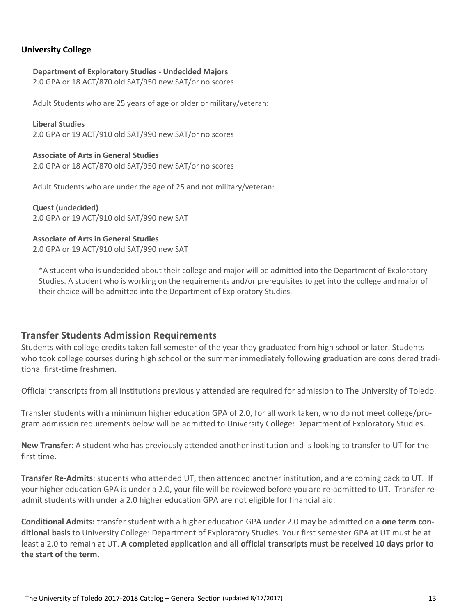#### **University College**

#### **Department of Exploratory Studies ‐ Undecided Majors**

2.0 GPA or 18 ACT/870 old SAT/950 new SAT/or no scores

Adult Students who are 25 years of age or older or military/veteran:

 **Liberal Studies** 2.0 GPA or 19 ACT/910 old SAT/990 new SAT/or no scores

 **Associate of Arts in General Studies** 2.0 GPA or 18 ACT/870 old SAT/950 new SAT/or no scores

Adult Students who are under the age of 25 and not military/veteran:

 **Quest (undecided)** 2.0 GPA or 19 ACT/910 old SAT/990 new SAT

#### **Associate of Arts in General Studies**

2.0 GPA or 19 ACT/910 old SAT/990 new SAT

\*A student who is undecided about their college and major will be admitted into the Department of Exploratory Studies. A student who is working on the requirements and/or prerequisites to get into the college and major of their choice will be admitted into the Department of Exploratory Studies.

### **Transfer Students Admission Requirements**

Students with college credits taken fall semester of the year they graduated from high school or later. Students who took college courses during high school or the summer immediately following graduation are considered traditional first‐time freshmen.

Official transcripts from all institutions previously attended are required for admission to The University of Toledo.

Transfer students with a minimum higher education GPA of 2.0, for all work taken, who do not meet college/pro‐ gram admission requirements below will be admitted to University College: Department of Exploratory Studies.

**New Transfer**: A student who has previously attended another institution and is looking to transfer to UT for the first time.

**Transfer Re‐Admits**: students who attended UT, then attended another institution, and are coming back to UT. If your higher education GPA is under a 2.0, your file will be reviewed before you are re‐admitted to UT. Transfer re‐ admit students with under a 2.0 higher education GPA are not eligible for financial aid.

**Conditional Admits:** transfer student with a higher education GPA under 2.0 may be admitted on a **one term con‐ ditional basis** to University College: Department of Exploratory Studies. Your first semester GPA at UT must be at least a 2.0 to remain at UT. **A completed application and all official transcripts must be received 10 days prior to the start of the term.**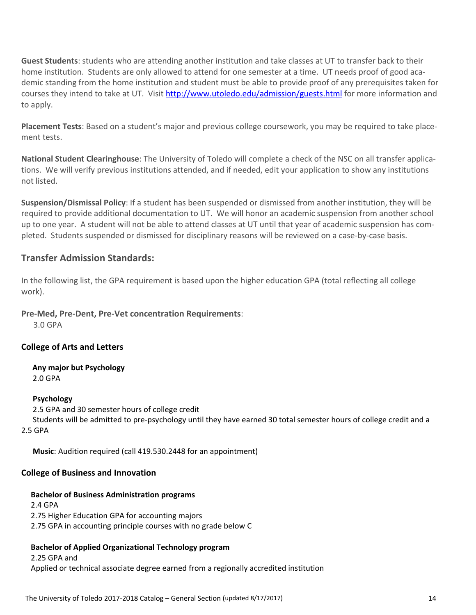**Guest Students**: students who are attending another institution and take classes at UT to transfer back to their home institution. Students are only allowed to attend for one semester at a time. UT needs proof of good academic standing from the home institution and student must be able to provide proof of any prerequisites taken for courses they intend to take at UT. Visit http://www.utoledo.edu/admission/guests.html for more information and to apply.

**Placement Tests**: Based on a student's major and previous college coursework, you may be required to take place‐ ment tests.

**National Student Clearinghouse**: The University of Toledo will complete a check of the NSC on all transfer applica‐ tions. We will verify previous institutions attended, and if needed, edit your application to show any institutions not listed.

**Suspension/Dismissal Policy**: If a student has been suspended or dismissed from another institution, they will be required to provide additional documentation to UT. We will honor an academic suspension from another school up to one year. A student will not be able to attend classes at UT until that year of academic suspension has completed. Students suspended or dismissed for disciplinary reasons will be reviewed on a case‐by‐case basis.

### **Transfer Admission Standards:**

In the following list, the GPA requirement is based upon the higher education GPA (total reflecting all college work).

**Pre‐Med, Pre‐Dent, Pre‐Vet concentration Requirements**:

3.0 GPA

### **College of Arts and Letters**

 **Any major but Psychology** 2.0 GPA

### **Psychology**

2.5 GPA and 30 semester hours of college credit

 Students will be admitted to pre‐psychology until they have earned 30 total semester hours of college credit and a 2.5 GPA

**Music**: Audition required (call 419.530.2448 for an appointment)

### **College of Business and Innovation**

### **Bachelor of Business Administration programs**

 2.4 GPA 2.75 Higher Education GPA for accounting majors 2.75 GPA in accounting principle courses with no grade below C

### **Bachelor of Applied Organizational Technology program**

 2.25 GPA and Applied or technical associate degree earned from a regionally accredited institution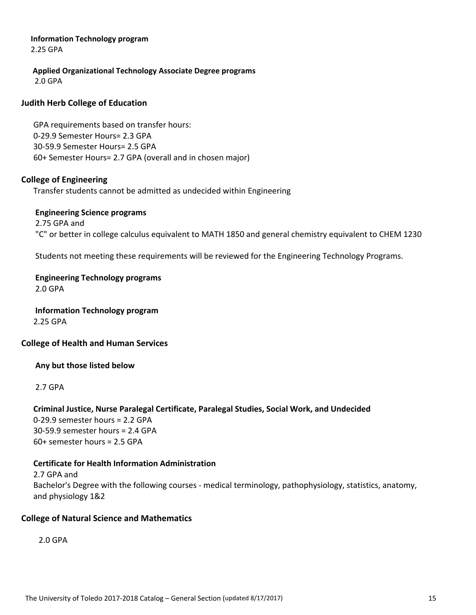### **Information Technology program**

2.25 GPA

 **Applied Organizational Technology Associate Degree programs** 2.0 GPA

### **Judith Herb College of Education**

 GPA requirements based on transfer hours: 0‐29.9 Semester Hours= 2.3 GPA 30‐59.9 Semester Hours= 2.5 GPA 60+ Semester Hours= 2.7 GPA (overall and in chosen major)

### **College of Engineering**

Transfer students cannot be admitted as undecided within Engineering

#### **Engineering Science programs**

 2.75 GPA and "C" or better in college calculus equivalent to MATH 1850 and general chemistry equivalent to CHEM 1230

Students not meeting these requirements will be reviewed for the Engineering Technology Programs.

### **Engineering Technology programs** 2.0 GPA

 **Information Technology program** 2.25 GPA

### **College of Health and Human Services**

### **Any but those listed below**

2.7 GPA

#### **Criminal Justice, Nurse Paralegal Certificate, Paralegal Studies, Social Work, and Undecided** 0‐29.9 semester hours = 2.2 GPA

 30‐59.9 semester hours = 2.4 GPA 60+ semester hours = 2.5 GPA

### **Certificate for Health Information Administration**

 2.7 GPA and Bachelor's Degree with the following courses ‐ medical terminology, pathophysiology, statistics, anatomy, and physiology 1&2

### **College of Natural Science and Mathematics**

2.0 GPA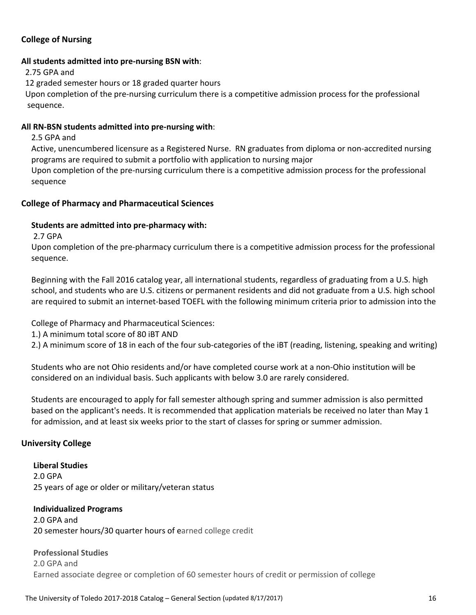### **College of Nursing**

#### **All students admitted into pre‐nursing BSN with**:

2.75 GPA and

12 graded semester hours or 18 graded quarter hours

 Upon completion of the pre‐nursing curriculum there is a competitive admission process for the professional sequence.

#### **All RN‐BSN students admitted into pre‐nursing with**:

2.5 GPA and

 Active, unencumbered licensure as a Registered Nurse. RN graduates from diploma or non‐accredited nursing programs are required to submit a portfolio with application to nursing major

 Upon completion of the pre‐nursing curriculum there is a competitive admission process for the professional sequence

#### **College of Pharmacy and Pharmaceutical Sciences**

#### **Students are admitted into pre‐pharmacy with:**

2.7 GPA

 Upon completion of the pre‐pharmacy curriculum there is a competitive admission process for the professional sequence.

 Beginning with the Fall 2016 catalog year, all international students, regardless of graduating from a U.S. high school, and students who are U.S. citizens or permanent residents and did not graduate from a U.S. high school are required to submit an internet‐based TOEFL with the following minimum criteria prior to admission into the

College of Pharmacy and Pharmaceutical Sciences:

1.) A minimum total score of 80 iBT AND

2.) A minimum score of 18 in each of the four sub-categories of the iBT (reading, listening, speaking and writing)

 Students who are not Ohio residents and/or have completed course work at a non‐Ohio institution will be considered on an individual basis. Such applicants with below 3.0 are rarely considered.

 Students are encouraged to apply for fall semester although spring and summer admission is also permitted based on the applicant's needs. It is recommended that application materials be received no later than May 1 for admission, and at least six weeks prior to the start of classes for spring or summer admission.

#### **University College**

 **Liberal Studies** 2.0 GPA 25 years of age or older or military/veteran status

#### **Individualized Programs**

 2.0 GPA and 20 semester hours/30 quarter hours of earned college credit

#### **Professional Studies**

 2.0 GPA and Earned associate degree or completion of 60 semester hours of credit or permission of college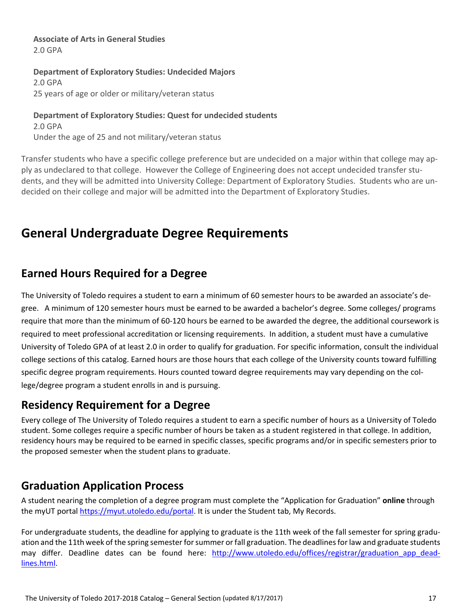**Associate of Arts in General Studies** 2.0 GPA

 **Department of Exploratory Studies: Undecided Majors** 2.0 GPA 25 years of age or older or military/veteran status

 **Department of Exploratory Studies: Quest for undecided students** 2.0 GPA Under the age of 25 and not military/veteran status

Transfer students who have a specific college preference but are undecided on a major within that college may ap‐ ply as undeclared to that college. However the College of Engineering does not accept undecided transfer stu‐ dents, and they will be admitted into University College: Department of Exploratory Studies. Students who are un‐ decided on their college and major will be admitted into the Department of Exploratory Studies.

# **General Undergraduate Degree Requirements**

### **Earned Hours Required for a Degree**

The University of Toledo requires a student to earn a minimum of 60 semester hours to be awarded an associate's de‐ gree. A minimum of 120 semester hours must be earned to be awarded a bachelor's degree. Some colleges/ programs require that more than the minimum of 60‐120 hours be earned to be awarded the degree, the additional coursework is required to meet professional accreditation or licensing requirements. In addition, a student must have a cumulative University of Toledo GPA of at least 2.0 in order to qualify for graduation. For specific information, consult the individual college sections of this catalog. Earned hours are those hours that each college of the University counts toward fulfilling specific degree program requirements. Hours counted toward degree requirements may vary depending on the college/degree program a student enrolls in and is pursuing.

### **Residency Requirement for a Degree**

Every college of The University of Toledo requires a student to earn a specific number of hours as a University of Toledo student. Some colleges require a specific number of hours be taken as a student registered in that college. In addition, residency hours may be required to be earned in specific classes, specific programs and/or in specific semesters prior to the proposed semester when the student plans to graduate.

## **Graduation Application Process**

A student nearing the completion of a degree program must complete the "Application for Graduation" **online** through the myUT portal https://myut.utoledo.edu/portal. It is under the Student tab, My Records.

For undergraduate students, the deadline for applying to graduate is the 11th week of the fall semester for spring graduation and the 11th week of the spring semester for summer or fall graduation. The deadlines for law and graduate students may differ. Deadline dates can be found here: http://www.utoledo.edu/offices/registrar/graduation app deadlines.html.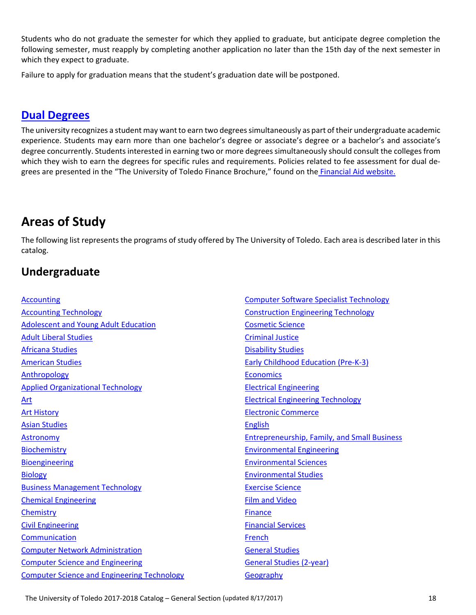Students who do not graduate the semester for which they applied to graduate, but anticipate degree completion the following semester, must reapply by completing another application no later than the 15th day of the next semester in which they expect to graduate.

Failure to apply for graduation means that the student's graduation date will be postponed.

### **Dual Degrees**

The university recognizes a student may want to earn two degrees simultaneously as part of their undergraduate academic experience. Students may earn more than one bachelor's degree or associate's degree or a bachelor's and associate's degree concurrently. Students interested in earning two or more degrees simultaneously should consult the colleges from which they wish to earn the degrees for specific rules and requirements. Policies related to fee assessment for dual degrees are presented in the "The University of Toledo Finance Brochure," found on the Financial Aid website.

# **Areas of Study**

The following list represents the programs of study offered by The University of Toledo. Each area is described later in this catalog.

### **Undergraduate**

#### Accounting

Accounting Technology Adolescent and Young Adult Education Adult Liberal Studies Africana Studies American Studies Anthropology Applied Organizational Technology Art Art History Asian Studies Astronomy Biochemistry Bioengineering Biology Business Management Technology Chemical Engineering **Chemistry** Civil Engineering Communication Computer Network Administration Computer Science and Engineering Computer Science and Engineering Technology Computer Software Specialist Technology Construction Engineering Technology Cosmetic Science Criminal Justice Disability Studies Early Childhood Education (Pre‐K‐3) **Economics** Electrical Engineering Electrical Engineering Technology Electronic Commerce English Entrepreneurship, Family, and Small Business Environmental Engineering Environmental Sciences Environmental Studies Exercise Science Film and Video Finance Financial Services French General Studies General Studies (2‐year) **Geography**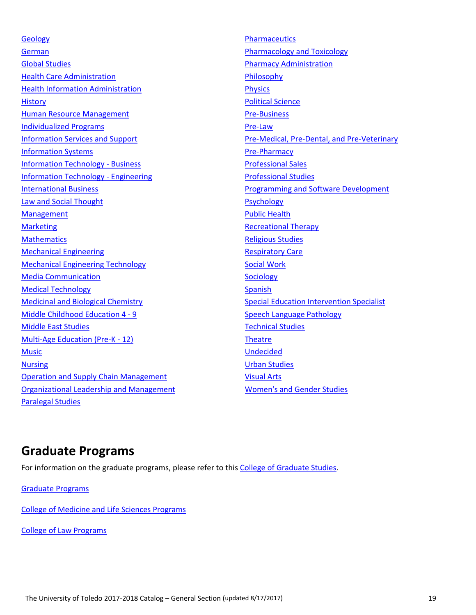**Geology** German Global Studies **Health Care Administration** Health Information Administration **History** Human Resource Management Individualized Programs Information Services and Support Information Systems Information Technology ‐ Business Information Technology ‐ Engineering International Business Law and Social Thought Management **Marketing Mathematics** Mechanical Engineering Mechanical Engineering Technology Media Communication Medical Technology Medicinal and Biological Chemistry Middle Childhood Education 4 ‐ 9 Middle East Studies Multi‐Age Education (Pre‐K ‐ 12) Music **Nursing** Operation and Supply Chain Management Organizational Leadership and Management Paralegal Studies

**Pharmaceutics** Pharmacology and Toxicology Pharmacy Administration **Philosophy Physics** Political Science Pre‐Business Pre‐Law Pre‐Medical, Pre‐Dental, and Pre‐Veterinary Pre‐Pharmacy Professional Sales Professional Studies Programming and Software Development Psychology Public Health Recreational Therapy Religious Studies Respiratory Care Social Work **Sociology** Spanish Special Education Intervention Specialist Speech Language Pathology Technical Studies **Theatre** Undecided Urban Studies Visual Arts Women's and Gender Studies

### **Graduate Programs**

For information on the graduate programs, please refer to this College of Graduate Studies.

Graduate Programs

College of Medicine and Life Sciences Programs

College of Law Programs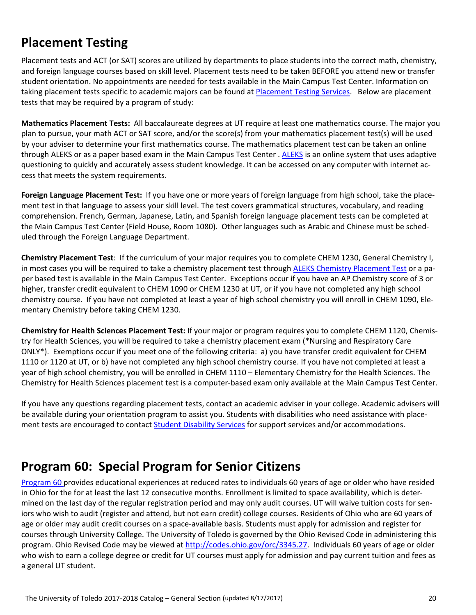# **Placement Testing**

Placement tests and ACT (or SAT) scores are utilized by departments to place students into the correct math, chemistry, and foreign language courses based on skill level. Placement tests need to be taken BEFORE you attend new or transfer student orientation. No appointments are needed for tests available in the Main Campus Test Center. Information on taking placement tests specific to academic majors can be found at Placement Testing Services. Below are placement tests that may be required by a program of study:

**Mathematics Placement Tests:** All baccalaureate degrees at UT require at least one mathematics course. The major you plan to pursue, your math ACT or SAT score, and/or the score(s) from your mathematics placement test(s) will be used by your adviser to determine your first mathematics course. The mathematics placement test can be taken an online through ALEKS or as a paper based exam in the Main Campus Test Center . ALEKS is an online system that uses adaptive questioning to quickly and accurately assess student knowledge. It can be accessed on any computer with internet ac‐ cess that meets the system requirements.

**Foreign Language Placement Test:** If you have one or more years of foreign language from high school, take the place‐ ment test in that language to assess your skill level. The test covers grammatical structures, vocabulary, and reading comprehension. French, German, Japanese, Latin, and Spanish foreign language placement tests can be completed at the Main Campus Test Center (Field House, Room 1080). Other languages such as Arabic and Chinese must be sched‐ uled through the Foreign Language Department.

**Chemistry Placement Test**: If the curriculum of your major requires you to complete CHEM 1230, General Chemistry I, in most cases you will be required to take a chemistry placement test through ALEKS Chemistry Placement Test or a paper based test is available in the Main Campus Test Center. Exceptions occur if you have an AP Chemistry score of 3 or higher, transfer credit equivalent to CHEM 1090 or CHEM 1230 at UT, or if you have not completed any high school chemistry course. If you have not completed at least a year of high school chemistry you will enroll in CHEM 1090, Ele‐ mentary Chemistry before taking CHEM 1230.

**Chemistry for Health Sciences Placement Test:** If your major or program requires you to complete CHEM 1120, Chemis‐ try for Health Sciences, you will be required to take a chemistry placement exam (\*Nursing and Respiratory Care ONLY\*). Exemptions occur if you meet one of the following criteria: a) you have transfer credit equivalent for CHEM 1110 or 1120 at UT, or b) have not completed any high school chemistry course. If you have not completed at least a year of high school chemistry, you will be enrolled in CHEM 1110 – Elementary Chemistry for the Health Sciences. The Chemistry for Health Sciences placement test is a computer‐based exam only available at the Main Campus Test Center.

If you have any questions regarding placement tests, contact an academic adviser in your college. Academic advisers will be available during your orientation program to assist you. Students with disabilities who need assistance with placement tests are encouraged to contact Student Disability Services for support services and/or accommodations.

# **Program 60: Special Program for Senior Citizens**

Program 60 provides educational experiences at reduced rates to individuals 60 years of age or older who have resided in Ohio for the for at least the last 12 consecutive months. Enrollment is limited to space availability, which is deter‐ mined on the last day of the regular registration period and may only audit courses. UT will waive tuition costs for sen‐ iors who wish to audit (register and attend, but not earn credit) college courses. Residents of Ohio who are 60 years of age or older may audit credit courses on a space-available basis. Students must apply for admission and register for courses through University College. The University of Toledo is governed by the Ohio Revised Code in administering this program. Ohio Revised Code may be viewed at http://codes.ohio.gov/orc/3345.27. Individuals 60 years of age or older who wish to earn a college degree or credit for UT courses must apply for admission and pay current tuition and fees as a general UT student.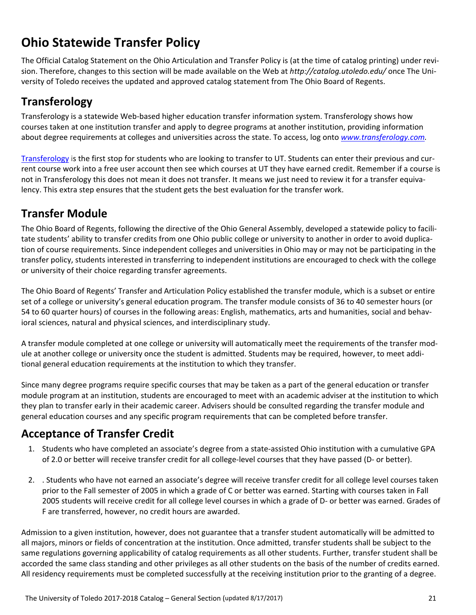# **Ohio Statewide Transfer Policy**

The Official Catalog Statement on the Ohio Articulation and Transfer Policy is (at the time of catalog printing) under revi‐ sion. Therefore, changes to this section will be made available on the Web at *http://catalog.utoledo.edu/* once The Uni‐ versity of Toledo receives the updated and approved catalog statement from The Ohio Board of Regents.

# **Transferology**

Transferology is a statewide Web‐based higher education transfer information system. Transferology shows how courses taken at one institution transfer and apply to degree programs at another institution, providing information about degree requirements at colleges and universities across the state. To access, log onto *www.transferology.com.*

Transferology is the first stop for students who are looking to transfer to UT. Students can enter their previous and cur‐ rent course work into a free user account then see which courses at UT they have earned credit. Remember if a course is not in Transferology this does not mean it does not transfer. It means we just need to review it for a transfer equivalency. This extra step ensures that the student gets the best evaluation for the transfer work.

## **Transfer Module**

The Ohio Board of Regents, following the directive of the Ohio General Assembly, developed a statewide policy to facili‐ tate students' ability to transfer credits from one Ohio public college or university to another in order to avoid duplication of course requirements. Since independent colleges and universities in Ohio may or may not be participating in the transfer policy, students interested in transferring to independent institutions are encouraged to check with the college or university of their choice regarding transfer agreements.

The Ohio Board of Regents' Transfer and Articulation Policy established the transfer module, which is a subset or entire set of a college or university's general education program. The transfer module consists of 36 to 40 semester hours (or 54 to 60 quarter hours) of courses in the following areas: English, mathematics, arts and humanities, social and behavioral sciences, natural and physical sciences, and interdisciplinary study.

A transfer module completed at one college or university will automatically meet the requirements of the transfer mod‐ ule at another college or university once the student is admitted. Students may be required, however, to meet addi‐ tional general education requirements at the institution to which they transfer.

Since many degree programs require specific courses that may be taken as a part of the general education or transfer module program at an institution, students are encouraged to meet with an academic adviser at the institution to which they plan to transfer early in their academic career. Advisers should be consulted regarding the transfer module and general education courses and any specific program requirements that can be completed before transfer.

# **Acceptance of Transfer Credit**

- 1. Students who have completed an associate's degree from a state‐assisted Ohio institution with a cumulative GPA of 2.0 or better will receive transfer credit for all college‐level courses that they have passed (D‐ or better).
- 2. . Students who have not earned an associate's degree will receive transfer credit for all college level courses taken prior to the Fall semester of 2005 in which a grade of C or better was earned. Starting with courses taken in Fall 2005 students will receive credit for all college level courses in which a grade of D‐ or better was earned. Grades of F are transferred, however, no credit hours are awarded.

Admission to a given institution, however, does not guarantee that a transfer student automatically will be admitted to all majors, minors or fields of concentration at the institution. Once admitted, transfer students shall be subject to the same regulations governing applicability of catalog requirements as all other students. Further, transfer student shall be accorded the same class standing and other privileges as all other students on the basis of the number of credits earned. All residency requirements must be completed successfully at the receiving institution prior to the granting of a degree.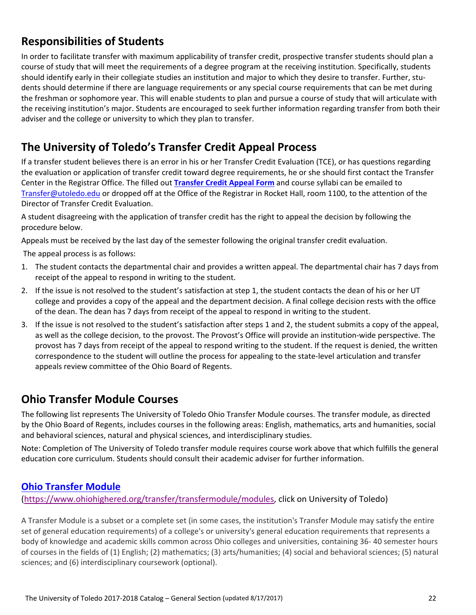## **Responsibilities of Students**

In order to facilitate transfer with maximum applicability of transfer credit, prospective transfer students should plan a course of study that will meet the requirements of a degree program at the receiving institution. Specifically, students should identify early in their collegiate studies an institution and major to which they desire to transfer. Further, students should determine if there are language requirements or any special course requirements that can be met during the freshman or sophomore year. This will enable students to plan and pursue a course of study that will articulate with the receiving institution's major. Students are encouraged to seek further information regarding transfer from both their adviser and the college or university to which they plan to transfer.

## **The University of Toledo's Transfer Credit Appeal Process**

If a transfer student believes there is an error in his or her Transfer Credit Evaluation (TCE), or has questions regarding the evaluation or application of transfer credit toward degree requirements, he or she should first contact the Transfer Center in the Registrar Office. The filled out **Transfer Credit Appeal Form** and course syllabi can be emailed to Transfer@utoledo.edu or dropped off at the Office of the Registrar in Rocket Hall, room 1100, to the attention of the Director of Transfer Credit Evaluation.

A student disagreeing with the application of transfer credit has the right to appeal the decision by following the procedure below.

Appeals must be received by the last day of the semester following the original transfer credit evaluation.

The appeal process is as follows:

- 1. The student contacts the departmental chair and provides a written appeal. The departmental chair has 7 days from receipt of the appeal to respond in writing to the student.
- 2. If the issue is not resolved to the student's satisfaction at step 1, the student contacts the dean of his or her UT college and provides a copy of the appeal and the department decision. A final college decision rests with the office of the dean. The dean has 7 days from receipt of the appeal to respond in writing to the student.
- 3. If the issue is not resolved to the student's satisfaction after steps 1 and 2, the student submits a copy of the appeal, as well as the college decision, to the provost. The Provost's Office will provide an institution-wide perspective. The provost has 7 days from receipt of the appeal to respond writing to the student. If the request is denied, the written correspondence to the student will outline the process for appealing to the state‐level articulation and transfer appeals review committee of the Ohio Board of Regents.

### **Ohio Transfer Module Courses**

The following list represents The University of Toledo Ohio Transfer Module courses. The transfer module, as directed by the Ohio Board of Regents, includes courses in the following areas: English, mathematics, arts and humanities, social and behavioral sciences, natural and physical sciences, and interdisciplinary studies.

Note: Completion of The University of Toledo transfer module requires course work above that which fulfills the general education core curriculum. Students should consult their academic adviser for further information.

### **Ohio Transfer Module**

(https://www.ohiohighered.org/transfer/transfermodule/modules, click on University of Toledo)

A Transfer Module is a subset or a complete set (in some cases, the institution's Transfer Module may satisfy the entire set of general education requirements) of a college's or university's general education requirements that represents a body of knowledge and academic skills common across Ohio colleges and universities, containing 36‐ 40 semester hours of courses in the fields of (1) English; (2) mathematics; (3) arts/humanities; (4) social and behavioral sciences; (5) natural sciences; and (6) interdisciplinary coursework (optional).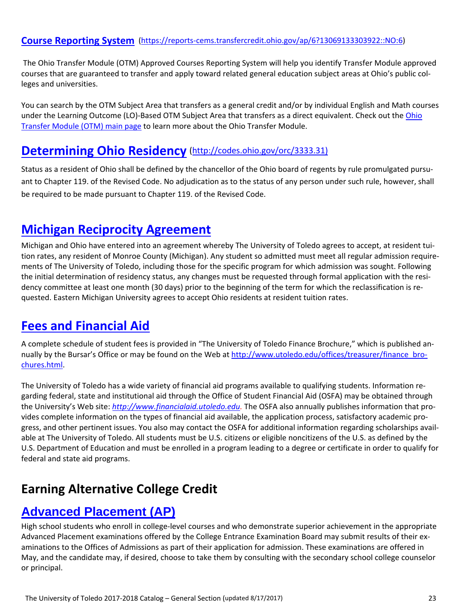### **Course Reporting System** (https://reports‐cems.transfercredit.ohio.gov/ap/6?13069133303922::NO:6)

The Ohio Transfer Module (OTM) Approved Courses Reporting System will help you identify Transfer Module approved courses that are guaranteed to transfer and apply toward related general education subject areas at Ohio's public col‐ leges and universities.

You can search by the OTM Subject Area that transfers as a general credit and/or by individual English and Math courses under the Learning Outcome (LO)-Based OTM Subject Area that transfers as a direct equivalent. Check out the Ohio Transfer Module (OTM) main page to learn more about the Ohio Transfer Module.

### **Determining Ohio Residency** (http://codes.ohio.gov/orc/3333.31)

Status as a resident of Ohio shall be defined by the chancellor of the Ohio board of regents by rule promulgated pursu‐ ant to Chapter 119. of the Revised Code. No adjudication as to the status of any person under such rule, however, shall be required to be made pursuant to Chapter 119. of the Revised Code.

### **Michigan Reciprocity Agreement**

Michigan and Ohio have entered into an agreement whereby The University of Toledo agrees to accept, at resident tui‐ tion rates, any resident of Monroe County (Michigan). Any student so admitted must meet all regular admission require‐ ments of The University of Toledo, including those for the specific program for which admission was sought. Following the initial determination of residency status, any changes must be requested through formal application with the residency committee at least one month (30 days) prior to the beginning of the term for which the reclassification is requested. Eastern Michigan University agrees to accept Ohio residents at resident tuition rates.

### **Fees and Financial Aid**

A complete schedule of student fees is provided in "The University of Toledo Finance Brochure," which is published an‐ nually by the Bursar's Office or may be found on the Web at http://www.utoledo.edu/offices/treasurer/finance\_brochures.html.

The University of Toledo has a wide variety of financial aid programs available to qualifying students. Information re‐ garding federal, state and institutional aid through the Office of Student Financial Aid (OSFA) may be obtained through the University's Web site: *http://www.financialaid.utoledo.edu.* The OSFA also annually publishes information that pro‐ vides complete information on the types of financial aid available, the application process, satisfactory academic pro‐ gress, and other pertinent issues. You also may contact the OSFA for additional information regarding scholarships avail‐ able at The University of Toledo. All students must be U.S. citizens or eligible noncitizens of the U.S. as defined by the U.S. Department of Education and must be enrolled in a program leading to a degree or certificate in order to qualify for federal and state aid programs.

## **Earning Alternative College Credit**

### **Advanced Placement (AP)**

High school students who enroll in college-level courses and who demonstrate superior achievement in the appropriate Advanced Placement examinations offered by the College Entrance Examination Board may submit results of their ex‐ aminations to the Offices of Admissions as part of their application for admission. These examinations are offered in May, and the candidate may, if desired, choose to take them by consulting with the secondary school college counselor or principal.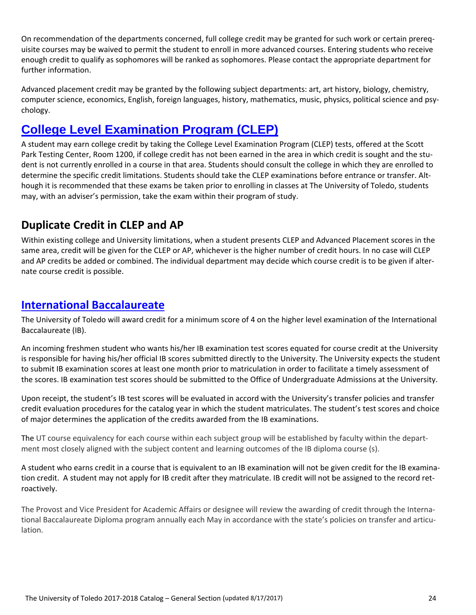On recommendation of the departments concerned, full college credit may be granted for such work or certain prereq‐ uisite courses may be waived to permit the student to enroll in more advanced courses. Entering students who receive enough credit to qualify as sophomores will be ranked as sophomores. Please contact the appropriate department for further information.

Advanced placement credit may be granted by the following subject departments: art, art history, biology, chemistry, computer science, economics, English, foreign languages, history, mathematics, music, physics, political science and psy‐ chology.

# **College Level Examination Program (CLEP)**

A student may earn college credit by taking the College Level Examination Program (CLEP) tests, offered at the Scott Park Testing Center, Room 1200, if college credit has not been earned in the area in which credit is sought and the student is not currently enrolled in a course in that area. Students should consult the college in which they are enrolled to determine the specific credit limitations. Students should take the CLEP examinations before entrance or transfer. Although it is recommended that these exams be taken prior to enrolling in classes at The University of Toledo, students may, with an adviser's permission, take the exam within their program of study.

### **Duplicate Credit in CLEP and AP**

Within existing college and University limitations, when a student presents CLEP and Advanced Placement scores in the same area, credit will be given for the CLEP or AP, whichever is the higher number of credit hours. In no case will CLEP and AP credits be added or combined. The individual department may decide which course credit is to be given if alternate course credit is possible.

### **International Baccalaureate**

The University of Toledo will award credit for a minimum score of 4 on the higher level examination of the International Baccalaureate (IB).

An incoming freshmen student who wants his/her IB examination test scores equated for course credit at the University is responsible for having his/her official IB scores submitted directly to the University. The University expects the student to submit IB examination scores at least one month prior to matriculation in order to facilitate a timely assessment of the scores. IB examination test scores should be submitted to the Office of Undergraduate Admissions at the University.

Upon receipt, the student's IB test scores will be evaluated in accord with the University's transfer policies and transfer credit evaluation procedures for the catalog year in which the student matriculates. The student's test scores and choice of major determines the application of the credits awarded from the IB examinations.

The UT course equivalency for each course within each subject group will be established by faculty within the department most closely aligned with the subject content and learning outcomes of the IB diploma course (s).

A student who earns credit in a course that is equivalent to an IB examination will not be given credit for the IB examina‐ tion credit. A student may not apply for IB credit after they matriculate. IB credit will not be assigned to the record ret‐ roactively.

The Provost and Vice President for Academic Affairs or designee will review the awarding of credit through the Interna‐ tional Baccalaureate Diploma program annually each May in accordance with the state's policies on transfer and articulation.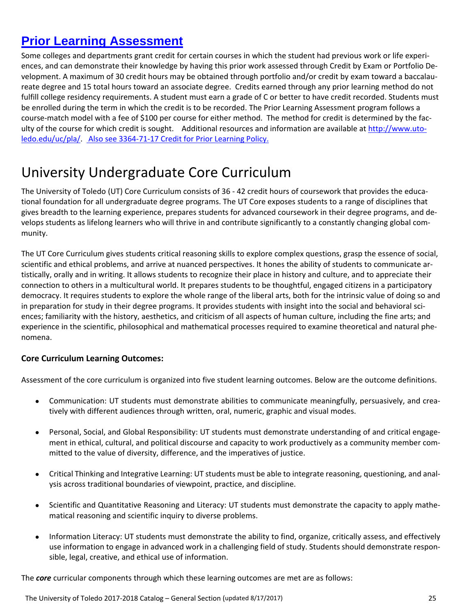# **Prior Learning Assessment**

Some colleges and departments grant credit for certain courses in which the student had previous work or life experi‐ ences, and can demonstrate their knowledge by having this prior work assessed through Credit by Exam or Portfolio De‐ velopment. A maximum of 30 credit hours may be obtained through portfolio and/or credit by exam toward a baccalaureate degree and 15 total hours toward an associate degree. Credits earned through any prior learning method do not fulfill college residency requirements. A student must earn a grade of C or better to have credit recorded. Students must be enrolled during the term in which the credit is to be recorded. The Prior Learning Assessment program follows a course-match model with a fee of \$100 per course for either method. The method for credit is determined by the faculty of the course for which credit is sought. Additional resources and information are available at http://www.utoledo.edu/uc/pla/. Also see 3364‐71‐17 Credit for Prior Learning Policy.

# University Undergraduate Core Curriculum

The University of Toledo (UT) Core Curriculum consists of 36 - 42 credit hours of coursework that provides the educational foundation for all undergraduate degree programs. The UT Core exposes students to a range of disciplines that gives breadth to the learning experience, prepares students for advanced coursework in their degree programs, and de‐ velops students as lifelong learners who will thrive in and contribute significantly to a constantly changing global com‐ munity.

The UT Core Curriculum gives students critical reasoning skills to explore complex questions, grasp the essence of social, scientific and ethical problems, and arrive at nuanced perspectives. It hones the ability of students to communicate ar‐ tistically, orally and in writing. It allows students to recognize their place in history and culture, and to appreciate their connection to others in a multicultural world. It prepares students to be thoughtful, engaged citizens in a participatory democracy. It requires students to explore the whole range of the liberal arts, both for the intrinsic value of doing so and in preparation for study in their degree programs. It provides students with insight into the social and behavioral sciences; familiarity with the history, aesthetics, and criticism of all aspects of human culture, including the fine arts; and experience in the scientific, philosophical and mathematical processes required to examine theoretical and natural phe‐ nomena.

### **Core Curriculum Learning Outcomes:**

Assessment of the core curriculum is organized into five student learning outcomes. Below are the outcome definitions.

- Communication: UT students must demonstrate abilities to communicate meaningfully, persuasively, and crea‐ tively with different audiences through written, oral, numeric, graphic and visual modes.
- Personal, Social, and Global Responsibility: UT students must demonstrate understanding of and critical engagement in ethical, cultural, and political discourse and capacity to work productively as a community member com‐ mitted to the value of diversity, difference, and the imperatives of justice.
- Critical Thinking and Integrative Learning: UT students must be able to integrate reasoning, questioning, and anal‐ ysis across traditional boundaries of viewpoint, practice, and discipline.
- Scientific and Quantitative Reasoning and Literacy: UT students must demonstrate the capacity to apply mathematical reasoning and scientific inquiry to diverse problems.
- Information Literacy: UT students must demonstrate the ability to find, organize, critically assess, and effectively use information to engage in advanced work in a challenging field of study. Students should demonstrate respon‐ sible, legal, creative, and ethical use of information.

The *core* curricular components through which these learning outcomes are met are as follows: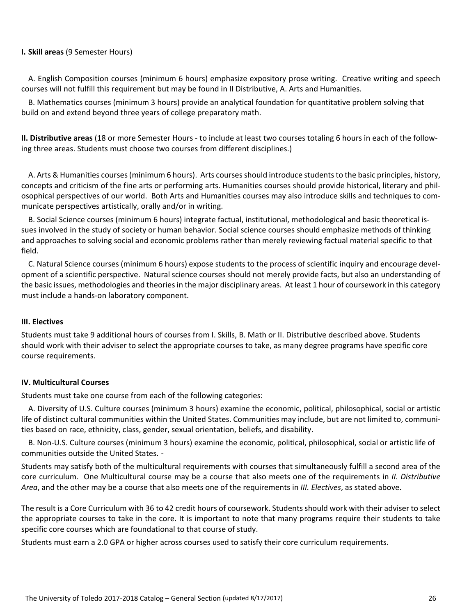#### **I. Skill areas** (9 Semester Hours)

A. English Composition courses (minimum 6 hours) emphasize expository prose writing. Creative writing and speech courses will not fulfill this requirement but may be found in II Distributive, A. Arts and Humanities.

B. Mathematics courses (minimum 3 hours) provide an analytical foundation for quantitative problem solving that build on and extend beyond three years of college preparatory math.

**II. Distributive areas** (18 or more Semester Hours ‐ to include at least two courses totaling 6 hours in each of the follow‐ ing three areas. Students must choose two courses from different disciplines.)

A. Arts & Humanities courses (minimum 6 hours). Arts courses should introduce students to the basic principles, history, concepts and criticism of the fine arts or performing arts. Humanities courses should provide historical, literary and phil‐ osophical perspectives of our world. Both Arts and Humanities courses may also introduce skills and techniques to com‐ municate perspectives artistically, orally and/or in writing.

B. Social Science courses (minimum 6 hours) integrate factual, institutional, methodological and basic theoretical is‐ sues involved in the study of society or human behavior. Social science courses should emphasize methods of thinking and approaches to solving social and economic problems rather than merely reviewing factual material specific to that field.

C. Natural Science courses (minimum 6 hours) expose students to the process of scientific inquiry and encourage devel‐ opment of a scientific perspective. Natural science courses should not merely provide facts, but also an understanding of the basic issues, methodologies and theories in the major disciplinary areas. At least 1 hour of coursework in this category must include a hands‐on laboratory component.

#### **III. Electives**

Students must take 9 additional hours of courses from I. Skills, B. Math or II. Distributive described above. Students should work with their adviser to select the appropriate courses to take, as many degree programs have specific core course requirements.

#### **IV. Multicultural Courses**

Students must take one course from each of the following categories:

A. Diversity of U.S. Culture courses (minimum 3 hours) examine the economic, political, philosophical, social or artistic life of distinct cultural communities within the United States. Communities may include, but are not limited to, communities based on race, ethnicity, class, gender, sexual orientation, beliefs, and disability.

B. Non‐U.S. Culture courses (minimum 3 hours) examine the economic, political, philosophical, social or artistic life of communities outside the United States. ‐

Students may satisfy both of the multicultural requirements with courses that simultaneously fulfill a second area of the core curriculum. One Multicultural course may be a course that also meets one of the requirements in *II. Distributive Area*, and the other may be a course that also meets one of the requirements in *III. Electives*, as stated above.

The result is a Core Curriculum with 36 to 42 credit hours of coursework. Students should work with their adviser to select the appropriate courses to take in the core. It is important to note that many programs require their students to take specific core courses which are foundational to that course of study.

Students must earn a 2.0 GPA or higher across courses used to satisfy their core curriculum requirements.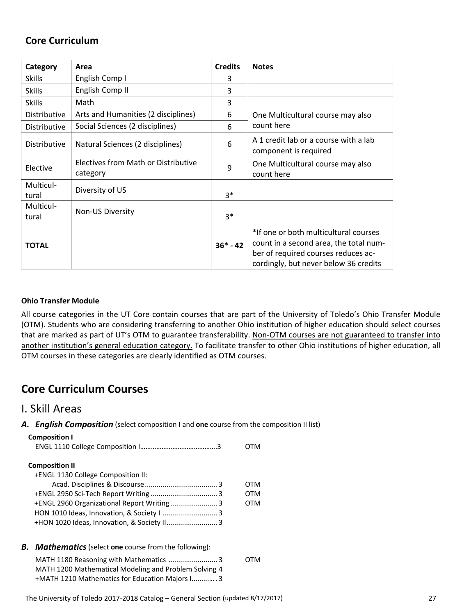### **Core Curriculum**

| Category            | Area                                            | <b>Credits</b> | <b>Notes</b>                                                                                                                                                    |
|---------------------|-------------------------------------------------|----------------|-----------------------------------------------------------------------------------------------------------------------------------------------------------------|
| <b>Skills</b>       | English Comp I                                  | 3              |                                                                                                                                                                 |
| <b>Skills</b>       | English Comp II                                 | 3              |                                                                                                                                                                 |
| <b>Skills</b>       | Math                                            | 3              |                                                                                                                                                                 |
| Distributive        | Arts and Humanities (2 disciplines)             | 6              | One Multicultural course may also                                                                                                                               |
| <b>Distributive</b> | Social Sciences (2 disciplines)                 | 6              | count here                                                                                                                                                      |
| Distributive        | Natural Sciences (2 disciplines)                | 6              | A 1 credit lab or a course with a lab<br>component is required                                                                                                  |
| Elective            | Electives from Math or Distributive<br>category | 9              | One Multicultural course may also<br>count here                                                                                                                 |
| Multicul-<br>tural  | Diversity of US                                 | $3*$           |                                                                                                                                                                 |
| Multicul-<br>tural  | Non-US Diversity                                | $3*$           |                                                                                                                                                                 |
| <b>TOTAL</b>        |                                                 | $36* - 42$     | *If one or both multicultural courses<br>count in a second area, the total num-<br>ber of required courses reduces ac-<br>cordingly, but never below 36 credits |

#### **Ohio Transfer Module**

All course categories in the UT Core contain courses that are part of the University of Toledo's Ohio Transfer Module (OTM). Students who are considering transferring to another Ohio institution of higher education should select courses that are marked as part of UT's OTM to guarantee transferability. Non-OTM courses are not guaranteed to transfer into another institution's general education category. To facilitate transfer to other Ohio institutions of higher education, all OTM courses in these categories are clearly identified as OTM courses.

### **Core Curriculum Courses**

### I. Skill Areas

*A. English Composition* (select composition I and **one** course from the composition II list)

| <b>Composition I</b>                        |     |
|---------------------------------------------|-----|
|                                             |     |
| <b>Composition II</b>                       |     |
| +ENGL 1130 College Composition II:          |     |
|                                             | OTM |
|                                             | отм |
|                                             | 0TM |
| HON 1010 Ideas, Innovation, & Society I  3  |     |
| +HON 1020 Ideas, Innovation, & Society II 3 |     |

*B. Mathematics*(select **one** course from the following):

| MATH 1180 Reasoning with Mathematics  3               | 0TM |
|-------------------------------------------------------|-----|
| MATH 1200 Mathematical Modeling and Problem Solving 4 |     |
| +MATH 1210 Mathematics for Education Majors I 3       |     |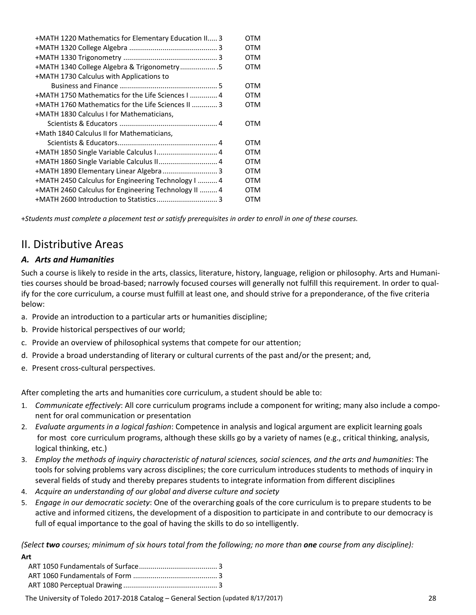| +MATH 1220 Mathematics for Elementary Education II 3 | OTM        |
|------------------------------------------------------|------------|
|                                                      | OTM        |
|                                                      | OTM        |
| +MATH 1340 College Algebra & Trigonometry .5         | OTM        |
| +MATH 1730 Calculus with Applications to             |            |
|                                                      | OTM        |
| +MATH 1750 Mathematics for the Life Sciences I  4    | OTM        |
| +MATH 1760 Mathematics for the Life Sciences II  3   | OTM        |
| +MATH 1830 Calculus I for Mathematicians,            |            |
|                                                      | OTM        |
| +Math 1840 Calculus II for Mathematicians,           |            |
|                                                      | OTM        |
|                                                      | OTM        |
| +MATH 1860 Single Variable Calculus II 4             | OTM        |
|                                                      | OTM        |
| +MATH 2450 Calculus for Engineering Technology I  4  | <b>OTM</b> |
| +MATH 2460 Calculus for Engineering Technology II  4 | OTM        |
|                                                      | OTM        |

+Students must complete a placement test or satisfy prerequisites in order to enroll in one of these courses.

### II. Distributive Areas

### *A. Arts and Humanities*

Such a course is likely to reside in the arts, classics, literature, history, language, religion or philosophy. Arts and Humani‐ ties courses should be broad-based; narrowly focused courses will generally not fulfill this requirement. In order to qualify for the core curriculum, a course must fulfill at least one, and should strive for a preponderance, of the five criteria below:

- a. Provide an introduction to a particular arts or humanities discipline;
- b. Provide historical perspectives of our world;
- c. Provide an overview of philosophical systems that compete for our attention;
- d. Provide a broad understanding of literary or cultural currents of the past and/or the present; and,
- e. Present cross-cultural perspectives.

After completing the arts and humanities core curriculum, a student should be able to:

- 1. *Communicate effectively*: All core curriculum programs include a component for writing; many also include a compo‐ nent for oral communication or presentation
- 2. *Evaluate arguments in a logical fashion*: Competence in analysis and logical argument are explicit learning goals for most core curriculum programs, although these skills go by a variety of names (e.g., critical thinking, analysis, logical thinking, etc.)
- 3. Employ the methods of inquiry characteristic of natural sciences, social sciences, and the arts and humanities: The tools for solving problems vary across disciplines; the core curriculum introduces students to methods of inquiry in several fields of study and thereby prepares students to integrate information from different disciplines
- 4. *Acquire an understanding of our global and diverse culture and society*
- 5. *Engage in our democratic society*: One of the overarching goals of the core curriculum is to prepare students to be active and informed citizens, the development of a disposition to participate in and contribute to our democracy is full of equal importance to the goal of having the skills to do so intelligently.

(Select two courses; minimum of six hours total from the following; no more than one course from any discipline):

| Art |  |
|-----|--|
|     |  |
|     |  |
|     |  |
|     |  |

The University of Toledo 2017‐2018 Catalog – General Section (updated 8/17/2017) 28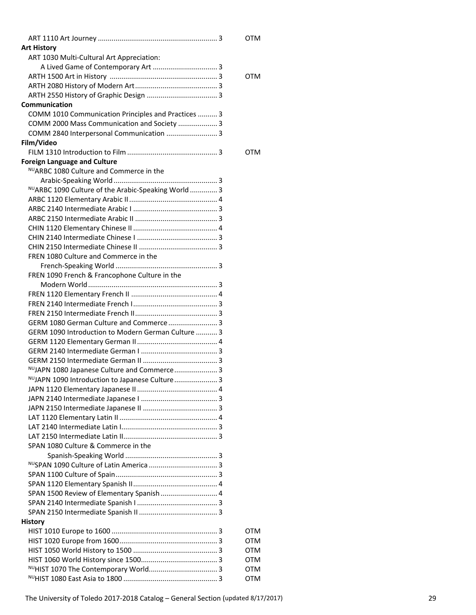|                                                     | <b>OTM</b> |  |
|-----------------------------------------------------|------------|--|
| <b>Art History</b>                                  |            |  |
| ART 1030 Multi-Cultural Art Appreciation:           |            |  |
|                                                     |            |  |
|                                                     | OTM        |  |
|                                                     |            |  |
|                                                     |            |  |
| Communication                                       |            |  |
| COMM 1010 Communication Principles and Practices  3 |            |  |
| COMM 2000 Mass Communication and Society  3         |            |  |
| COMM 2840 Interpersonal Communication  3            |            |  |
| Film/Video                                          |            |  |
|                                                     | OTM        |  |
| <b>Foreign Language and Culture</b>                 |            |  |
| NUARBC 1080 Culture and Commerce in the             |            |  |
|                                                     |            |  |
| NUARBC 1090 Culture of the Arabic-Speaking World 3  |            |  |
|                                                     |            |  |
|                                                     |            |  |
|                                                     |            |  |
|                                                     |            |  |
|                                                     |            |  |
|                                                     |            |  |
| FREN 1080 Culture and Commerce in the               |            |  |
|                                                     |            |  |
|                                                     |            |  |
| FREN 1090 French & Francophone Culture in the       |            |  |
|                                                     |            |  |
|                                                     |            |  |
|                                                     |            |  |
|                                                     |            |  |
|                                                     |            |  |
| GERM 1090 Introduction to Modern German Culture  3  |            |  |
|                                                     |            |  |
|                                                     |            |  |
|                                                     |            |  |
| NUJAPN 1080 Japanese Culture and Commerce 3         |            |  |
| NUJAPN 1090 Introduction to Japanese Culture 3      |            |  |
|                                                     |            |  |
|                                                     |            |  |
|                                                     |            |  |
|                                                     |            |  |
|                                                     |            |  |
|                                                     |            |  |
| SPAN 1080 Culture & Commerce in the                 |            |  |
|                                                     |            |  |
|                                                     |            |  |
|                                                     |            |  |
|                                                     |            |  |
| SPAN 1500 Review of Elementary Spanish  4           |            |  |
|                                                     |            |  |
|                                                     |            |  |
| <b>History</b>                                      |            |  |
|                                                     | OTM        |  |
|                                                     | OTM        |  |
|                                                     | <b>OTM</b> |  |
|                                                     | <b>OTM</b> |  |
|                                                     | <b>OTM</b> |  |
|                                                     | OTM        |  |
|                                                     |            |  |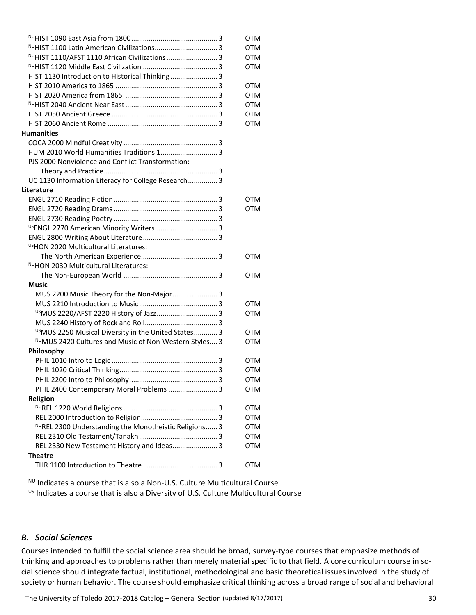|                                                                 | <b>OTM</b> |
|-----------------------------------------------------------------|------------|
|                                                                 | <b>OTM</b> |
| NUHIST 1110/AFST 1110 African Civilizations 3                   | <b>OTM</b> |
|                                                                 | <b>OTM</b> |
| HIST 1130 Introduction to Historical Thinking 3                 |            |
|                                                                 | OTM        |
|                                                                 | <b>OTM</b> |
|                                                                 | <b>OTM</b> |
|                                                                 | OTM        |
|                                                                 | <b>OTM</b> |
| <b>Humanities</b>                                               |            |
|                                                                 |            |
|                                                                 |            |
| PJS 2000 Nonviolence and Conflict Transformation:               |            |
|                                                                 |            |
| UC 1130 Information Literacy for College Research 3             |            |
| Literature                                                      |            |
|                                                                 | <b>OTM</b> |
|                                                                 | <b>OTM</b> |
|                                                                 |            |
| <sup>US</sup> ENGL 2770 American Minority Writers  3            |            |
|                                                                 |            |
| <sup>US</sup> HON 2020 Multicultural Literatures:               |            |
|                                                                 | OTM        |
| NUHON 2030 Multicultural Literatures:                           |            |
|                                                                 | OTM        |
| Music                                                           |            |
| MUS 2200 Music Theory for the Non-Major 3                       |            |
|                                                                 | OTM        |
|                                                                 | <b>OTM</b> |
|                                                                 |            |
| <sup>US</sup> MUS 2250 Musical Diversity in the United States 3 | <b>OTM</b> |
| NUMUS 2420 Cultures and Music of Non-Western Styles 3           | <b>OTM</b> |
| Philosophy                                                      |            |
|                                                                 | <b>OTM</b> |
|                                                                 | <b>OTM</b> |
|                                                                 | <b>OTM</b> |
| PHIL 2400 Contemporary Moral Problems  3                        | OTM        |
| Religion                                                        |            |
|                                                                 | OTM        |
|                                                                 | OTM        |
| NUREL 2300 Understanding the Monotheistic Religions 3           | OTM        |
|                                                                 | OTM        |
| REL 2330 New Testament History and Ideas 3                      | <b>OTM</b> |
| <b>Theatre</b>                                                  |            |
|                                                                 | <b>OTM</b> |

<sup>NU</sup> Indicates a course that is also a Non-U.S. Culture Multicultural Course US Indicates a course that is also a Diversity of U.S. Culture Multicultural Course

#### *B. Social Sciences*

Courses intended to fulfill the social science area should be broad, survey‐type courses that emphasize methods of thinking and approaches to problems rather than merely material specific to that field. A core curriculum course in social science should integrate factual, institutional, methodological and basic theoretical issues involved in the study of society or human behavior. The course should emphasize critical thinking across a broad range of social and behavioral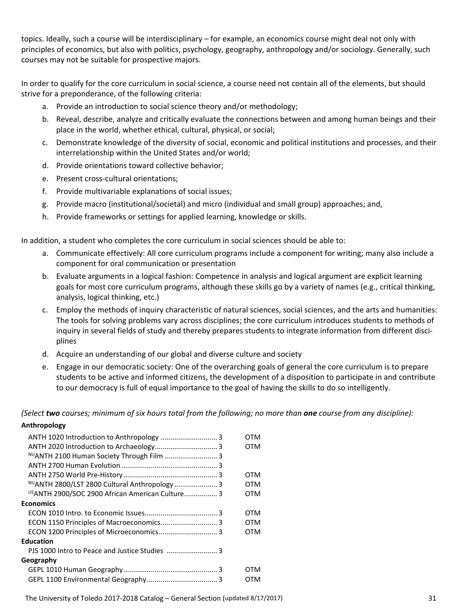topics. Ideally, such a course will be interdisciplinary – for example, an economics course might deal not only with principles of economics, but also with politics, psychology, geography, anthropology and/or sociology. Generally, such courses may not be suitable for prospective majors.

In order to qualify for the core curriculum in social science, a course need not contain all of the elements, but should strive for a preponderance, of the following criteria:

- a. Provide an introduction to social science theory and/or methodology;
- b. Reveal, describe, analyze and critically evaluate the connections between and among human beings and their place in the world, whether ethical, cultural, physical, or social;
- c. Demonstrate knowledge of the diversity of social, economic and political institutions and processes, and their interrelationship within the United States and/or world;
- d. Provide orientations toward collective behavior;
- e. Present cross‐cultural orientations;
- f. Provide multivariable explanations of social issues;
- g. Provide macro (institutional/societal) and micro (individual and small group) approaches; and,
- h. Provide frameworks or settings for applied learning, knowledge or skills.

In addition, a student who completes the core curriculum in social sciences should be able to:

- a. Communicate effectively: All core curriculum programs include a component for writing; many also include a component for oral communication or presentation
- b. Evaluate arguments in a logical fashion: Competence in analysis and logical argument are explicit learning goals for most core curriculum programs, although these skills go by a variety of names (e.g., critical thinking, analysis, logical thinking, etc.)
- c. Employ the methods of inquiry characteristic of natural sciences, social sciences, and the arts and humanities: The tools for solving problems vary across disciplines; the core curriculum introduces students to methods of inquiry in several fields of study and thereby prepares students to integrate information from different disciplines
- d. Acquire an understanding of our global and diverse culture and society
- e. Engage in our democratic society: One of the overarching goals of general the core curriculum is to prepare students to be active and informed citizens, the development of a disposition to participate in and contribute to our democracy is full of equal importance to the goal of having the skills to do so intelligently.

(Select two courses; minimum of six hours total from the following; no more than one course from any discipline):

#### **Anthropology**

|                                                 | OTM |
|-------------------------------------------------|-----|
|                                                 | OTM |
| NUANTH 2100 Human Society Through Film  3       |     |
|                                                 |     |
|                                                 | OTM |
| NUANTH 2800/LST 2800 Cultural Anthropology  3   | OTM |
| USANTH 2900/SOC 2900 African American Culture 3 | OTM |
| <b>Economics</b>                                |     |
|                                                 | OTM |
| ECON 1150 Principles of Macroeconomics 3        | OTM |
| ECON 1200 Principles of Microeconomics 3        | OTM |
| <b>Education</b>                                |     |
|                                                 |     |
| Geography                                       |     |
|                                                 | OTM |
|                                                 | отм |
|                                                 |     |

The University of Toledo 2017‐2018 Catalog – General Section (updated 8/17/2017) 31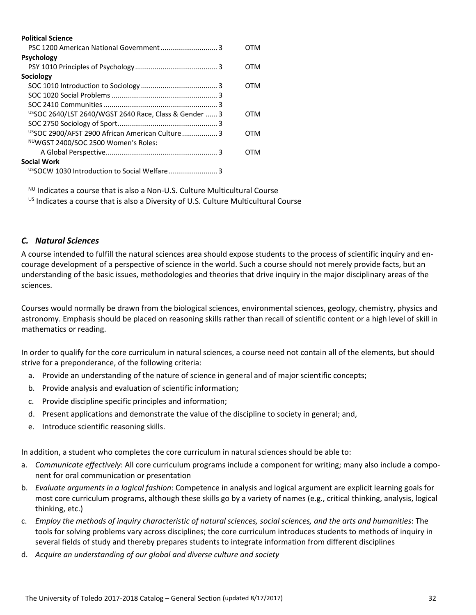| <b>Political Science</b>                                          |     |
|-------------------------------------------------------------------|-----|
|                                                                   | OTM |
| <b>Psychology</b>                                                 |     |
|                                                                   | OTM |
| Sociology                                                         |     |
|                                                                   | OTM |
|                                                                   |     |
|                                                                   |     |
| <sup>US</sup> SOC 2640/LST 2640/WGST 2640 Race, Class & Gender  3 | OTM |
|                                                                   |     |
| USSOC 2900/AFST 2900 African American Culture 3                   | OTM |
| NUWGST 2400/SOC 2500 Women's Roles:                               |     |
|                                                                   | отм |
| <b>Social Work</b>                                                |     |
|                                                                   |     |

 $NU$  Indicates a course that is also a Non-U.S. Culture Multicultural Course US Indicates a course that is also a Diversity of U.S. Culture Multicultural Course

### *C. Natural Sciences*

A course intended to fulfill the natural sciences area should expose students to the process of scientific inquiry and en‐ courage development of a perspective of science in the world. Such a course should not merely provide facts, but an understanding of the basic issues, methodologies and theories that drive inquiry in the major disciplinary areas of the sciences.

Courses would normally be drawn from the biological sciences, environmental sciences, geology, chemistry, physics and astronomy. Emphasis should be placed on reasoning skills rather than recall of scientific content or a high level of skill in mathematics or reading.

In order to qualify for the core curriculum in natural sciences, a course need not contain all of the elements, but should strive for a preponderance, of the following criteria:

- a. Provide an understanding of the nature of science in general and of major scientific concepts;
- b. Provide analysis and evaluation of scientific information;
- c. Provide discipline specific principles and information;
- d. Present applications and demonstrate the value of the discipline to society in general; and,
- e. Introduce scientific reasoning skills.

In addition, a student who completes the core curriculum in natural sciences should be able to:

- a. *Communicate effectively*: All core curriculum programs include a component for writing; many also include a compo‐ nent for oral communication or presentation
- b. *Evaluate arguments in a logical fashion*: Competence in analysis and logical argument are explicit learning goals for most core curriculum programs, although these skills go by a variety of names (e.g., critical thinking, analysis, logical thinking, etc.)
- c. Employ the methods of inquiry characteristic of natural sciences, social sciences, and the arts and humanities: The tools for solving problems vary across disciplines; the core curriculum introduces students to methods of inquiry in several fields of study and thereby prepares students to integrate information from different disciplines
- d. *Acquire an understanding of our global and diverse culture and society*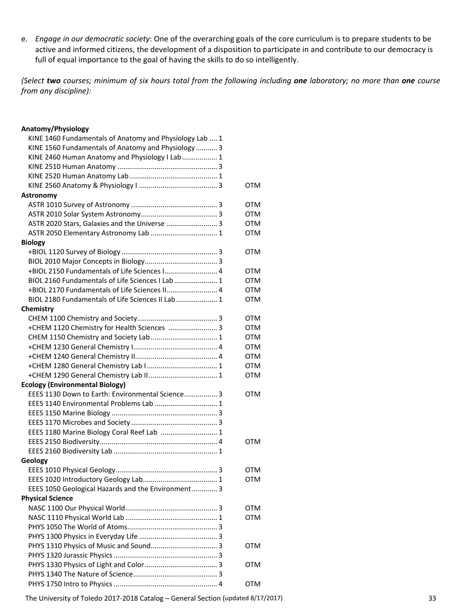e. *Engage in our democratic society*: One of the overarching goals of the core curriculum is to prepare students to be active and informed citizens, the development of a disposition to participate in and contribute to our democracy is full of equal importance to the goal of having the skills to do so intelligently.

(Select two courses; minimum of six hours total from the following including one laboratory; no more than one course *from any discipline):* 

#### **Anatomy/Physiology**

| KINE 1460 Fundamentals of Anatomy and Physiology Lab  1 |            |
|---------------------------------------------------------|------------|
| KINE 1560 Fundamentals of Anatomy and Physiology  3     |            |
| KINE 2460 Human Anatomy and Physiology I Lab 1          |            |
|                                                         |            |
|                                                         |            |
|                                                         | OTM        |
| Astronomy                                               |            |
|                                                         | OTM        |
|                                                         | <b>OTM</b> |
| ASTR 2020 Stars, Galaxies and the Universe  3           | <b>OTM</b> |
| ASTR 2050 Elementary Astronomy Lab  1                   | OTM        |
| <b>Biology</b>                                          |            |
|                                                         | OTM        |
|                                                         |            |
|                                                         |            |
| +BIOL 2150 Fundamentals of Life Sciences I 4            | <b>OTM</b> |
| BIOL 2160 Fundamentals of Life Sciences I Lab  1        | OTM        |
| +BIOL 2170 Fundamentals of Life Sciences II 4           | <b>OTM</b> |
| BIOL 2180 Fundamentals of Life Sciences II Lab  1       | OTM        |
| Chemistry                                               |            |
|                                                         | OTM        |
| +CHEM 1120 Chemistry for Health Sciences  3             | <b>OTM</b> |
| CHEM 1150 Chemistry and Society Lab  1                  | <b>OTM</b> |
|                                                         | <b>OTM</b> |
|                                                         | <b>OTM</b> |
|                                                         | <b>OTM</b> |
| +CHEM 1290 General Chemistry Lab II 1                   | <b>OTM</b> |
| <b>Ecology (Environmental Biology)</b>                  |            |
| EEES 1130 Down to Earth: Environmental Science 3        | <b>OTM</b> |
| EEES 1140 Environmental Problems Lab  1                 |            |
|                                                         |            |
|                                                         |            |
| EEES 1180 Marine Biology Coral Reef Lab  1              |            |
|                                                         | OTM        |
|                                                         |            |
| Geology                                                 |            |
|                                                         | OTM        |
|                                                         | <b>OTM</b> |
|                                                         |            |
| EEES 1050 Geological Hazards and the Environment 3      |            |
| <b>Physical Science</b>                                 |            |
|                                                         | OTM        |
|                                                         | <b>OTM</b> |
|                                                         |            |
|                                                         |            |
|                                                         | <b>OTM</b> |
|                                                         |            |
|                                                         | <b>OTM</b> |
|                                                         |            |
|                                                         | <b>OTM</b> |
|                                                         |            |

The University of Toledo 2017-2018 Catalog – General Section (updated 8/17/2017) 33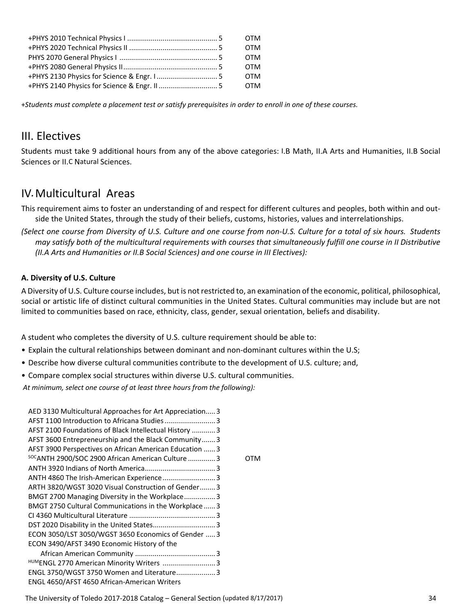|  | <b>OTM</b> |
|--|------------|
|  | <b>OTM</b> |
|  | <b>OTM</b> |
|  | <b>OTM</b> |
|  | <b>OTM</b> |
|  | OTM        |

+Students must complete a placement test or satisfy prerequisites in order to enroll in one of these courses.

### III. Electives

Students must take 9 additional hours from any of the above categories: I.B Math, II.A Arts and Humanities, II.B Social Sciences or II.C Natural Sciences.

### IV*.*Multicultural Areas

This requirement aims to foster an understanding of and respect for different cultures and peoples, both within and out‐ side the United States, through the study of their beliefs, customs, histories, values and interrelationships.

(Select one course from Diversity of U.S. Culture and one course from non-U.S. Culture for a total of six hours. Students may satisfy both of the multicultural requirements with courses that simultaneously fulfill one course in II Distributive *(II.A Arts and Humanities or II.B Social Sciences) and one course in III Electives):*

#### **A. Diversity of U.S. Culture**

A Diversity of U.S. Culture course includes, but is not restricted to, an examination of the economic, political, philosophical, social or artistic life of distinct cultural communities in the United States. Cultural communities may include but are not limited to communities based on race, ethnicity, class, gender, sexual orientation, beliefs and disability.

A student who completes the diversity of U.S. culture requirement should be able to:

- Explain the cultural relationships between dominant and non‐dominant cultures within the U.S;
- Describe how diverse cultural communities contribute to the development of U.S. culture; and,
- Compare complex social structures within diverse U.S. cultural communities.

*At minimum, select one course of at least three hours from the following):*

| AED 3130 Multicultural Approaches for Art Appreciation 3     |     |
|--------------------------------------------------------------|-----|
| AFST 1100 Introduction to Africana Studies 3                 |     |
| AFST 2100 Foundations of Black Intellectual History 3        |     |
| AFST 3600 Entrepreneurship and the Black Community3          |     |
| AFST 3900 Perspectives on African American Education  3      |     |
| <sup>SOC</sup> ANTH 2900/SOC 2900 African American Culture 3 | отм |
|                                                              |     |
| ANTH 4860 The Irish-American Experience 3                    |     |
| ARTH 3820/WGST 3020 Visual Construction of Gender3           |     |
| BMGT 2700 Managing Diversity in the Workplace 3              |     |
| <b>BMGT 2750 Cultural Communications in the Workplace3</b>   |     |
|                                                              |     |
| DST 2020 Disability in the United States 3                   |     |
| ECON 3050/LST 3050/WGST 3650 Economics of Gender  3          |     |
| ECON 3490/AFST 3490 Economic History of the                  |     |
|                                                              |     |
| <sup>HUM</sup> ENGL 2770 American Minority Writers 3         |     |
| ENGL 3750/WGST 3750 Women and Literature 3                   |     |
| ENGL 4650/AFST 4650 African-American Writers                 |     |
|                                                              |     |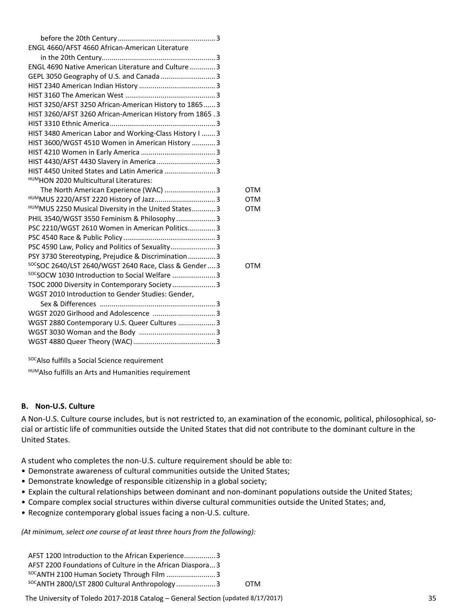| ENGL 4660/AFST 4660 African-American Literature          |     |  |
|----------------------------------------------------------|-----|--|
|                                                          |     |  |
| ENGL 4690 Native American Literature and Culture  3      |     |  |
|                                                          |     |  |
|                                                          |     |  |
|                                                          |     |  |
| HIST 3250/AFST 3250 African-American History to 1865 3   |     |  |
| HIST 3260/AFST 3260 African-American History from 1865.3 |     |  |
|                                                          |     |  |
| HIST 3480 American Labor and Working-Class History I  3  |     |  |
| HIST 3600/WGST 4510 Women in American History  3         |     |  |
|                                                          |     |  |
| HIST 4430/AFST 4430 Slavery in America 3                 |     |  |
| HIST 4450 United States and Latin America  3             |     |  |
| HUMHON 2020 Multicultural Literatures:                   |     |  |
|                                                          | OTM |  |
|                                                          | OTM |  |
| HUMMUS 2250 Musical Diversity in the United States 3     | OTM |  |
| PHIL 3540/WGST 3550 Feminism & Philosophy 3              |     |  |
| PSC 2210/WGST 2610 Women in American Politics3           |     |  |

PSC 4540 Race & Public Policy ............................................... 3 PSC 4590 Law, Policy and Politics of Sexuality.......................3 PSY 3730 Stereotyping, Prejudice & Discrimination..............3

SOCSOCW 1030 Introduction to Social Welfare .........................3 TSOC 2000 Diversity in Contemporary Society......................3

 Sex & Differences ........................................................... 3 WGST 2020 Girlhood and Adolescence ................................3 WGST 2880 Contemporary U.S. Queer Cultures ...................3 WGST 3030 Woman and the Body ....................................... 3 WGST 4880 Queer Theory (WAC).......................................... 3

WGST 2010 Introduction to Gender Studies: Gender,

socsoc 2640/LST 2640/WGST 2640 Race, Class & Gender....3 OTM

soc Also fulfills a Social Science requirement

HUMAlso fulfills an Arts and Humanities requirement

#### **B. Non‐U.S. Culture**

A Non-U.S. Culture course includes, but is not restricted to, an examination of the economic, political, philosophical, social or artistic life of communities outside the United States that did not contribute to the dominant culture in the United States.

A student who completes the non‐U.S. culture requirement should be able to:

- Demonstrate awareness of cultural communities outside the United States;
- Demonstrate knowledge of responsible citizenship in a global society;
- Explain the cultural relationships between dominant and non‐dominant populations outside the United States;
- Compare complex social structures within diverse cultural communities outside the United States; and,
- Recognize contemporary global issues facing a non‐U.S. culture.

*(At minimum, select one course of at least three hours from the following):*

| AFST 1200 Introduction to the African Experience3         |     |
|-----------------------------------------------------------|-----|
| AFST 2200 Foundations of Culture in the African Diaspora3 |     |
|                                                           |     |
| <sup>SOC</sup> ANTH 2800/LST 2800 Cultural Anthropology 3 | OTM |

The University of Toledo 2017‐2018 Catalog – General Section (updated 8/17/2017) 35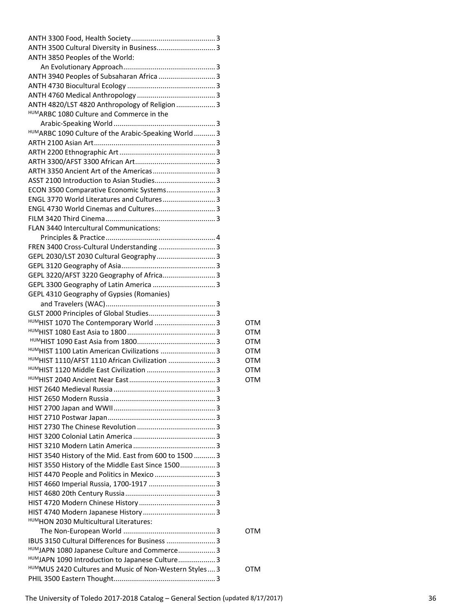| ANTH 3500 Cultural Diversity in Business 3             |            |
|--------------------------------------------------------|------------|
| ANTH 3850 Peoples of the World:                        |            |
|                                                        |            |
| ANTH 3940 Peoples of Subsaharan Africa  3              |            |
|                                                        |            |
|                                                        |            |
| ANTH 4820/LST 4820 Anthropology of Religion  3         |            |
| HUM ARBC 1080 Culture and Commerce in the              |            |
|                                                        |            |
| HUMARBC 1090 Culture of the Arabic-Speaking World 3    |            |
|                                                        |            |
|                                                        |            |
|                                                        |            |
|                                                        |            |
|                                                        |            |
| ECON 3500 Comparative Economic Systems 3               |            |
| ENGL 3770 World Literatures and Cultures 3             |            |
| ENGL 4730 World Cinemas and Cultures 3                 |            |
|                                                        |            |
|                                                        |            |
| FLAN 3440 Intercultural Communications:                |            |
|                                                        |            |
| FREN 3400 Cross-Cultural Understanding  3              |            |
| GEPL 2030/LST 2030 Cultural Geography 3                |            |
|                                                        |            |
| GEPL 3220/AFST 3220 Geography of Africa 3              |            |
|                                                        |            |
| GEPL 4310 Geography of Gypsies (Romanies)              |            |
|                                                        |            |
|                                                        |            |
| HUMHIST 1070 The Contemporary World  3                 | <b>OTM</b> |
|                                                        | <b>OTM</b> |
|                                                        | <b>OTM</b> |
| HUMHIST 1100 Latin American Civilizations  3           | <b>OTM</b> |
| HUMHIST 1110/AFST 1110 African Civilization  3         | <b>OTM</b> |
|                                                        | OTM        |
| HUMHIST 2040 Ancient Near Fast.                        | <b>OTM</b> |
|                                                        |            |
|                                                        |            |
|                                                        |            |
|                                                        |            |
|                                                        |            |
|                                                        |            |
|                                                        |            |
| HIST 3540 History of the Mid. East from 600 to 1500  3 |            |
| HIST 3550 History of the Middle East Since 1500 3      |            |
|                                                        |            |
|                                                        |            |
|                                                        |            |
|                                                        |            |
|                                                        |            |
|                                                        |            |
| HUMHON 2030 Multicultural Literatures:                 |            |
|                                                        | OTM        |
| IBUS 3150 Cultural Differences for Business  3         |            |
| HUMJAPN 1080 Japanese Culture and Commerce 3           |            |
| HUMJAPN 1090 Introduction to Japanese Culture 3        |            |
| HUMMUS 2420 Cultures and Music of Non-Western Styles 3 | OTM        |
|                                                        |            |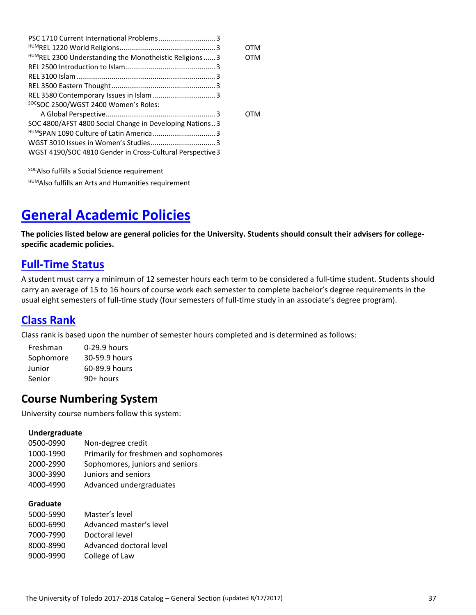|                                                           | отм        |
|-----------------------------------------------------------|------------|
| HUMREL 2300 Understanding the Monotheistic Religions  3   | отм        |
|                                                           |            |
|                                                           |            |
|                                                           |            |
|                                                           |            |
| <sup>SOC</sup> SOC 2500/WGST 2400 Women's Roles:          |            |
|                                                           | <b>OTM</b> |
| SOC 4800/AFST 4800 Social Change in Developing Nations3   |            |
|                                                           |            |
|                                                           |            |
| WGST 4190/SOC 4810 Gender in Cross-Cultural Perspective 3 |            |
|                                                           |            |

soc Also fulfills a Social Science requirement HUMAlso fulfills an Arts and Humanities requirement

# **General Academic Policies**

The policies listed below are general policies for the University. Students should consult their advisers for college**specific academic policies.**

### **Full‐Time Status**

A student must carry a minimum of 12 semester hours each term to be considered a full‐time student. Students should carry an average of 15 to 16 hours of course work each semester to complete bachelor's degree requirements in the usual eight semesters of full-time study (four semesters of full-time study in an associate's degree program).

### **Class Rank**

Class rank is based upon the number of semester hours completed and is determined as follows:

| Freshman  | 0-29.9 hours  |
|-----------|---------------|
| Sophomore | 30-59.9 hours |
| Junior    | 60-89.9 hours |
| Senior    | $90+$ hours   |

## **Course Numbering System**

University course numbers follow this system:

#### **Undergraduate**

| 0500-0990 | Non-degree credit                     |
|-----------|---------------------------------------|
| 1000-1990 | Primarily for freshmen and sophomores |
| 2000-2990 | Sophomores, juniors and seniors       |
| 3000-3990 | Juniors and seniors                   |
| 4000-4990 | Advanced undergraduates               |

### **Graduate**

| 5000-5990 | Master's level          |
|-----------|-------------------------|
| 6000-6990 | Advanced master's level |
| 7000-7990 | Doctoral level          |
| 8000-8990 | Advanced doctoral level |
| 9000-9990 | College of Law          |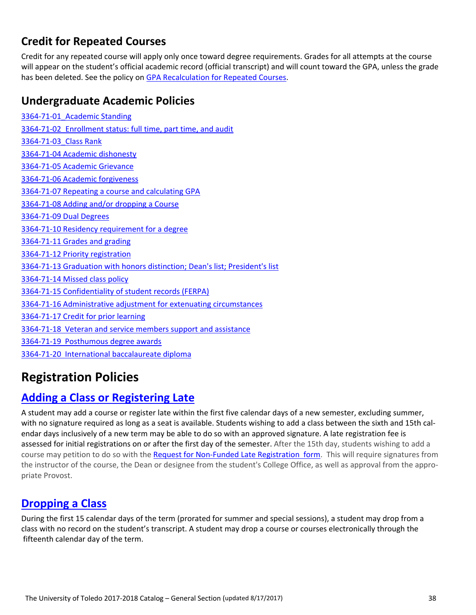## **Credit for Repeated Courses**

Credit for any repeated course will apply only once toward degree requirements. Grades for all attempts at the course will appear on the student's official academic record (official transcript) and will count toward the GPA, unless the grade has been deleted. See the policy on GPA Recalculation for Repeated Courses.

### **Undergraduate Academic Policies**

‐71‐01\_Academic Standing ‐71‐02\_Enrollment status: full time, part time, and audit ‐71‐03\_Class Rank ‐71‐04 Academic dishonesty ‐71‐05 Academic Grievance ‐71‐06 Academic forgiveness ‐71‐07 Repeating a course and calculating GPA ‐71‐08 Adding and/or dropping a Course ‐71‐09 Dual Degrees ‐71‐10 Residency requirement for a degree ‐71‐11 Grades and grading ‐71‐12 Priority registration ‐71‐13 Graduation with honors distinction; Dean's list; President's list ‐71‐14 Missed class policy ‐71‐15 Confidentiality of student records (FERPA) ‐71‐16 Administrative adjustment for extenuating circumstances ‐71‐17 Credit for prior learning ‐71‐18 Veteran and service members support and assistance ‐71‐19 Posthumous degree awards ‐71‐20 International baccalaureate diploma

# **Registration Policies**

### **Adding a Class or Registering Late**

A student may add a course or register late within the first five calendar days of a new semester, excluding summer, with no signature required as long as a seat is available. Students wishing to add a class between the sixth and 15th calendar days inclusively of a new term may be able to do so with an approved signature. A late registration fee is assessed for initial registrations on or after the first day of the semester. After the 15th day, students wishing to add a course may petition to do so with the Request for Non-Funded Late Registration form. This will require signatures from the instructor of the course, the Dean or designee from the student's College Office, as well as approval from the appropriate Provost.

### **Dropping a Class**

During the first 15 calendar days of the term (prorated for summer and special sessions), a student may drop from a class with no record on the student's transcript. A student may drop a course or courses electronically through the fifteenth calendar day of the term.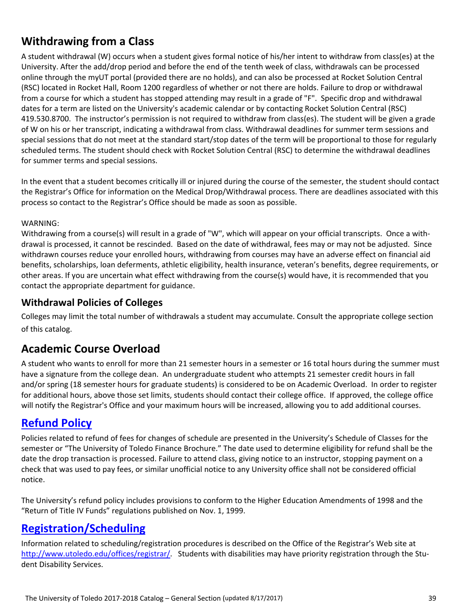## **Withdrawing from a Class**

A student withdrawal (W) occurs when a student gives formal notice of his/her intent to withdraw from class(es) at the University. After the add/drop period and before the end of the tenth week of class, withdrawals can be processed online through the myUT portal (provided there are no holds), and can also be processed at Rocket Solution Central (RSC) located in Rocket Hall, Room 1200 regardless of whether or not there are holds. Failure to drop or withdrawal from a course for which a student has stopped attending may result in a grade of "F". Specific drop and withdrawal dates for a term are listed on the University's academic calendar or by contacting Rocket Solution Central (RSC) 419.530.8700. The instructor's permission is not required to withdraw from class(es). The student will be given a grade of W on his or her transcript, indicating a withdrawal from class. Withdrawal deadlines for summer term sessions and special sessions that do not meet at the standard start/stop dates of the term will be proportional to those for regularly scheduled terms. The student should check with Rocket Solution Central (RSC) to determine the withdrawal deadlines for summer terms and special sessions.

In the event that a student becomes critically ill or injured during the course of the semester, the student should contact the Registrar's Office for information on the Medical Drop/Withdrawal process. There are deadlines associated with this process so contact to the Registrar's Office should be made as soon as possible.

#### WARNING:

Withdrawing from a course(s) will result in a grade of "W", which will appear on your official transcripts. Once a withdrawal is processed, it cannot be rescinded. Based on the date of withdrawal, fees may or may not be adjusted. Since withdrawn courses reduce your enrolled hours, withdrawing from courses may have an adverse effect on financial aid benefits, scholarships, loan deferments, athletic eligibility, health insurance, veteran's benefits, degree requirements, or other areas. If you are uncertain what effect withdrawing from the course(s) would have, it is recommended that you contact the appropriate department for guidance.

### **Withdrawal Policies of Colleges**

Colleges may limit the total number of withdrawals a student may accumulate. Consult the appropriate college section of this catalog.

### **Academic Course Overload**

A student who wants to enroll for more than 21 semester hours in a semester or 16 total hours during the summer must have a signature from the college dean. An undergraduate student who attempts 21 semester credit hours in fall and/or spring (18 semester hours for graduate students) is considered to be on Academic Overload. In order to register for additional hours, above those set limits, students should contact their college office. If approved, the college office will notify the Registrar's Office and your maximum hours will be increased, allowing you to add additional courses.

### **Refund Policy**

Policies related to refund of fees for changes of schedule are presented in the University's Schedule of Classes for the semester or "The University of Toledo Finance Brochure." The date used to determine eligibility for refund shall be the date the drop transaction is processed. Failure to attend class, giving notice to an instructor, stopping payment on a check that was used to pay fees, or similar unofficial notice to any University office shall not be considered official notice.

The University's refund policy includes provisions to conform to the Higher Education Amendments of 1998 and the "Return of Title IV Funds" regulations published on Nov. 1, 1999.

### **Registration/Scheduling**

Information related to scheduling/registration procedures is described on the Office of the Registrar's Web site at http://www.utoledo.edu/offices/registrar/. Students with disabilities may have priority registration through the Student Disability Services.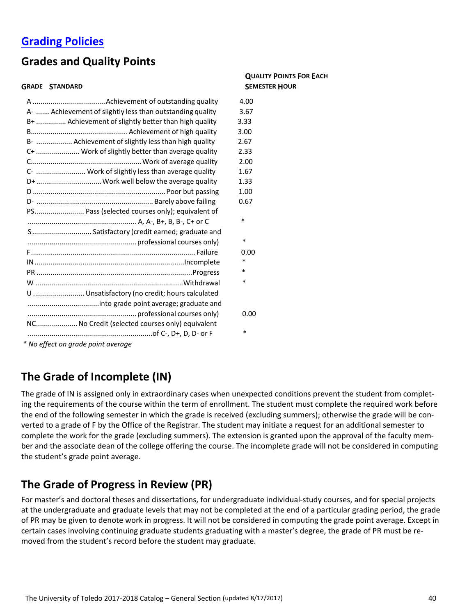### **Grading Policies**

## **Grades and Quality Points**

#### **GRADE STANDARD SEMESTER HOUR**

# **QUALITY POINTS FOR EACH**

|                                                           | 4.00   |
|-----------------------------------------------------------|--------|
| A-  Achievement of slightly less than outstanding quality | 3.67   |
| B+  Achievement of slightly better than high quality      | 3.33   |
|                                                           | 3.00   |
| B-  Achievement of slightly less than high quality        | 2.67   |
| C+  Work of slightly better than average quality          | 2.33   |
|                                                           | 2.00   |
| C-  Work of slightly less than average quality            | 1.67   |
| D+  Work well below the average quality                   | 1.33   |
|                                                           | 1.00   |
|                                                           | 0.67   |
| PS Pass (selected courses only); equivalent of            |        |
|                                                           | ∗      |
| S Satisfactory (credit earned; graduate and               |        |
|                                                           | $\ast$ |
|                                                           | 0.00   |
|                                                           | *      |
|                                                           | *      |
|                                                           | ∗      |
| U  Unsatisfactory (no credit; hours calculated            |        |
|                                                           |        |
|                                                           | 0.00   |
| NCNo Credit (selected courses only) equivalent            |        |
|                                                           | ∗      |
| * No effect on grade point average                        |        |

## **The Grade of Incomplete (IN)**

The grade of IN is assigned only in extraordinary cases when unexpected conditions prevent the student from completing the requirements of the course within the term of enrollment. The student must complete the required work before the end of the following semester in which the grade is received (excluding summers); otherwise the grade will be converted to a grade of F by the Office of the Registrar. The student may initiate a request for an additional semester to complete the work for the grade (excluding summers). The extension is granted upon the approval of the faculty mem‐ ber and the associate dean of the college offering the course. The incomplete grade will not be considered in computing the student's grade point average.

## **The Grade of Progress in Review (PR)**

For master's and doctoral theses and dissertations, for undergraduate individual‐study courses, and for special projects at the undergraduate and graduate levels that may not be completed at the end of a particular grading period, the grade of PR may be given to denote work in progress. It will not be considered in computing the grade point average. Except in certain cases involving continuing graduate students graduating with a master's degree, the grade of PR must be re‐ moved from the student's record before the student may graduate.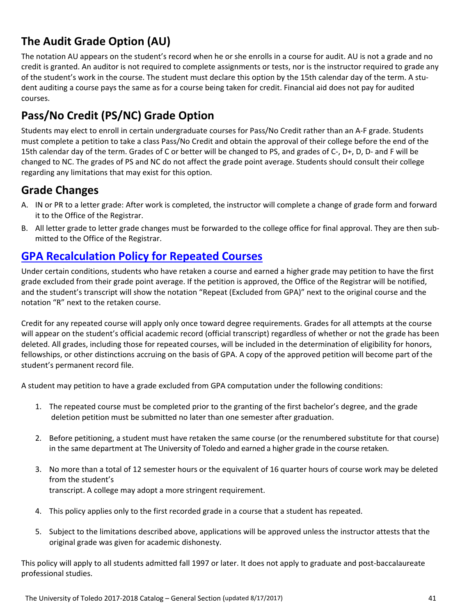# **The Audit Grade Option (AU)**

The notation AU appears on the student's record when he or she enrolls in a course for audit. AU is not a grade and no credit is granted. An auditor is not required to complete assignments or tests, nor is the instructor required to grade any of the student's work in the course. The student must declare this option by the 15th calendar day of the term. A student auditing a course pays the same as for a course being taken for credit. Financial aid does not pay for audited courses.

# **Pass/No Credit (PS/NC) Grade Option**

Students may elect to enroll in certain undergraduate courses for Pass/No Credit rather than an A‐F grade. Students must complete a petition to take a class Pass/No Credit and obtain the approval of their college before the end of the 15th calendar day of the term. Grades of C or better will be changed to PS, and grades of C‐, D+, D, D‐ and F will be changed to NC. The grades of PS and NC do not affect the grade point average. Students should consult their college regarding any limitations that may exist for this option.

### **Grade Changes**

- A. IN or PR to a letter grade: After work is completed, the instructor will complete a change of grade form and forward it to the Office of the Registrar.
- B. All letter grade to letter grade changes must be forwarded to the college office for final approval. They are then sub‐ mitted to the Office of the Registrar.

### **GPA Recalculation Policy for Repeated Courses**

Under certain conditions, students who have retaken a course and earned a higher grade may petition to have the first grade excluded from their grade point average. If the petition is approved, the Office of the Registrar will be notified, and the student's transcript will show the notation "Repeat (Excluded from GPA)" next to the original course and the notation "R" next to the retaken course.

Credit for any repeated course will apply only once toward degree requirements. Grades for all attempts at the course will appear on the student's official academic record (official transcript) regardless of whether or not the grade has been deleted. All grades, including those for repeated courses, will be included in the determination of eligibility for honors, fellowships, or other distinctions accruing on the basis of GPA. A copy of the approved petition will become part of the student's permanent record file.

A student may petition to have a grade excluded from GPA computation under the following conditions:

- 1. The repeated course must be completed prior to the granting of the first bachelor's degree, and the grade deletion petition must be submitted no later than one semester after graduation.
- 2. Before petitioning, a student must have retaken the same course (or the renumbered substitute for that course) in the same department at The University of Toledo and earned a higher grade in the course retaken.
- 3. No more than a total of 12 semester hours or the equivalent of 16 quarter hours of course work may be deleted from the student's transcript. A college may adopt a more stringent requirement.
- 4. This policy applies only to the first recorded grade in a course that a student has repeated.
- 5. Subject to the limitations described above, applications will be approved unless the instructor attests that the original grade was given for academic dishonesty.

This policy will apply to all students admitted fall 1997 or later. It does not apply to graduate and post‐baccalaureate professional studies.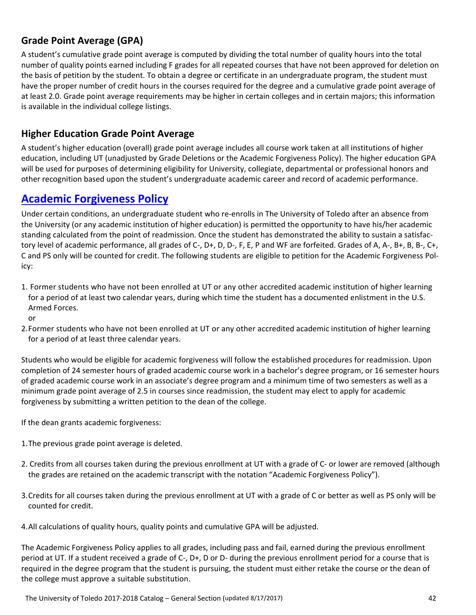### **Grade Point Average (GPA)**

A student's cumulative grade point average is computed by dividing the total number of quality hours into the total number of quality points earned including F grades for all repeated courses that have not been approved for deletion on the basis of petition by the student. To obtain a degree or certificate in an undergraduate program, the student must have the proper number of credit hours in the courses required for the degree and a cumulative grade point average of at least 2.0. Grade point average requirements may be higher in certain colleges and in certain majors; this information is available in the individual college listings.

### **Higher Education Grade Point Average**

A student's higher education (overall) grade point average includes all course work taken at all institutions of higher education, including UT (unadjusted by Grade Deletions or the Academic Forgiveness Policy). The higher education GPA will be used for purposes of determining eligibility for University, collegiate, departmental or professional honors and other recognition based upon the student's undergraduate academic career and record of academic performance.

### **Academic Forgiveness Policy**

Under certain conditions, an undergraduate student who re‐enrolls in The University of Toledo after an absence from the University (or any academic institution of higher education) is permitted the opportunity to have his/her academic standing calculated from the point of readmission. Once the student has demonstrated the ability to sustain a satisfac‐ tory level of academic performance, all grades of C‐, D+, D, D‐, F, E, P and WF are forfeited. Grades of A, A‐, B+, B, B‐, C+, C and PS only will be counted for credit. The following students are eligible to petition for the Academic Forgiveness Pol‐ icy:

- 1. Former students who have not been enrolled at UT or any other accredited academic institution of higher learning for a period of at least two calendar years, during which time the student has a documented enlistment in the U.S. Armed Forces.
- or
- 2.Former students who have not been enrolled at UT or any other accredited academic institution of higher learning for a period of at least three calendar years.

Students who would be eligible for academic forgiveness will follow the established procedures for readmission. Upon completion of 24 semester hours of graded academic course work in a bachelor's degree program, or 16 semester hours of graded academic course work in an associate's degree program and a minimum time of two semesters as well as a minimum grade point average of 2.5 in courses since readmission, the student may elect to apply for academic forgiveness by submitting a written petition to the dean of the college.

If the dean grants academic forgiveness:

- 1.The previous grade point average is deleted.
- 2. Credits from all courses taken during the previous enrollment at UT with a grade of C‐ or lower are removed (although the grades are retained on the academic transcript with the notation "Academic Forgiveness Policy").
- 3.Credits for all courses taken during the previous enrollment at UT with a grade of C or better as well as PS only will be counted for credit.

4.All calculations of quality hours, quality points and cumulative GPA will be adjusted.

The Academic Forgiveness Policy applies to all grades, including pass and fail, earned during the previous enrollment period at UT. If a student received a grade of C-, D+, D or D- during the previous enrollment period for a course that is required in the degree program that the student is pursuing, the student must either retake the course or the dean of the college must approve a suitable substitution.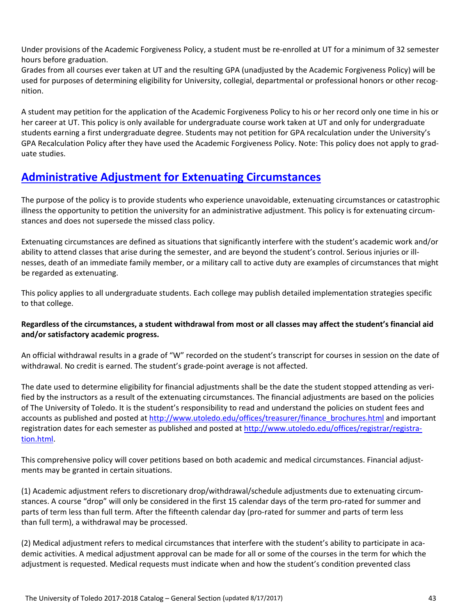Under provisions of the Academic Forgiveness Policy, a student must be re‐enrolled at UT for a minimum of 32 semester hours before graduation.

Grades from all courses ever taken at UT and the resulting GPA (unadjusted by the Academic Forgiveness Policy) will be used for purposes of determining eligibility for University, collegial, departmental or professional honors or other recognition.

A student may petition for the application of the Academic Forgiveness Policy to his or her record only one time in his or her career at UT. This policy is only available for undergraduate course work taken at UT and only for undergraduate students earning a first undergraduate degree. Students may not petition for GPA recalculation under the University's GPA Recalculation Policy after they have used the Academic Forgiveness Policy. Note: This policy does not apply to grad‐ uate studies.

### **Administrative Adjustment for Extenuating Circumstances**

The purpose of the policy is to provide students who experience unavoidable, extenuating circumstances or catastrophic illness the opportunity to petition the university for an administrative adjustment. This policy is for extenuating circumstances and does not supersede the missed class policy.

Extenuating circumstances are defined as situations that significantly interfere with the student's academic work and/or ability to attend classes that arise during the semester, and are beyond the student's control. Serious injuries or illnesses, death of an immediate family member, or a military call to active duty are examples of circumstances that might be regarded as extenuating.

This policy applies to all undergraduate students. Each college may publish detailed implementation strategies specific to that college.

### Regardless of the circumstances, a student withdrawal from most or all classes may affect the student's financial aid **and/or satisfactory academic progress.**

An official withdrawal results in a grade of "W" recorded on the student's transcript for courses in session on the date of withdrawal. No credit is earned. The student's grade‐point average is not affected.

The date used to determine eligibility for financial adjustments shall be the date the student stopped attending as veri‐ fied by the instructors as a result of the extenuating circumstances. The financial adjustments are based on the policies of The University of Toledo. It is the student's responsibility to read and understand the policies on student fees and accounts as published and posted at http://www.utoledo.edu/offices/treasurer/finance\_brochures.html and important registration dates for each semester as published and posted at http://www.utoledo.edu/offices/registrar/registration.html.

This comprehensive policy will cover petitions based on both academic and medical circumstances. Financial adjustments may be granted in certain situations.

(1) Academic adjustment refers to discretionary drop/withdrawal/schedule adjustments due to extenuating circum‐ stances. A course "drop" will only be considered in the first 15 calendar days of the term pro-rated for summer and parts of term less than full term. After the fifteenth calendar day (pro-rated for summer and parts of term less than full term), a withdrawal may be processed.

(2) Medical adjustment refers to medical circumstances that interfere with the student's ability to participate in aca‐ demic activities. A medical adjustment approval can be made for all or some of the courses in the term for which the adjustment is requested. Medical requests must indicate when and how the student's condition prevented class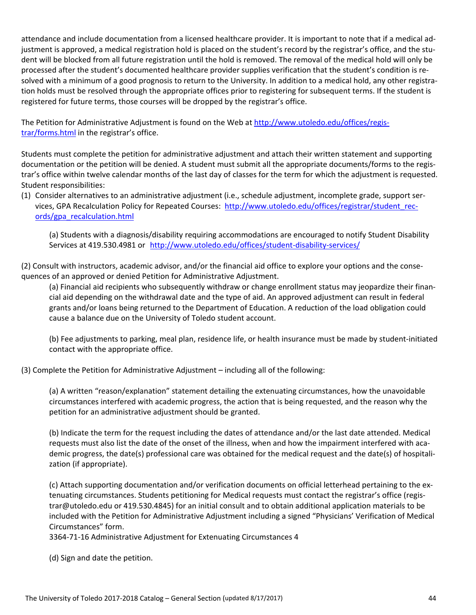attendance and include documentation from a licensed healthcare provider. It is important to note that if a medical ad‐ justment is approved, a medical registration hold is placed on the student's record by the registrar's office, and the student will be blocked from all future registration until the hold is removed. The removal of the medical hold will only be processed after the student's documented healthcare provider supplies verification that the student's condition is re‐ solved with a minimum of a good prognosis to return to the University. In addition to a medical hold, any other registration holds must be resolved through the appropriate offices prior to registering for subsequent terms. If the student is registered for future terms, those courses will be dropped by the registrar's office.

The Petition for Administrative Adjustment is found on the Web at http://www.utoledo.edu/offices/registrar/forms.html in the registrar's office.

Students must complete the petition for administrative adjustment and attach their written statement and supporting documentation or the petition will be denied. A student must submit all the appropriate documents/forms to the registrar's office within twelve calendar months of the last day of classes for the term for which the adjustment is requested. Student responsibilities:

(1) Consider alternatives to an administrative adjustment (i.e., schedule adjustment, incomplete grade, support ser‐ vices, GPA Recalculation Policy for Repeated Courses: http://www.utoledo.edu/offices/registrar/student\_rec‐ ords/gpa\_recalculation.html

(a) Students with a diagnosis/disability requiring accommodations are encouraged to notify Student Disability Services at 419.530.4981 or http://www.utoledo.edu/offices/student‐disability‐services/

(2) Consult with instructors, academic advisor, and/or the financial aid office to explore your options and the conse‐ quences of an approved or denied Petition for Administrative Adjustment.

(a) Financial aid recipients who subsequently withdraw or change enrollment status may jeopardize their finan‐ cial aid depending on the withdrawal date and the type of aid. An approved adjustment can result in federal grants and/or loans being returned to the Department of Education. A reduction of the load obligation could cause a balance due on the University of Toledo student account.

(b) Fee adjustments to parking, meal plan, residence life, or health insurance must be made by student‐initiated contact with the appropriate office.

(3) Complete the Petition for Administrative Adjustment – including all of the following:

(a) A written "reason/explanation" statement detailing the extenuating circumstances, how the unavoidable circumstances interfered with academic progress, the action that is being requested, and the reason why the petition for an administrative adjustment should be granted.

(b) Indicate the term for the request including the dates of attendance and/or the last date attended. Medical requests must also list the date of the onset of the illness, when and how the impairment interfered with academic progress, the date(s) professional care was obtained for the medical request and the date(s) of hospitali‐ zation (if appropriate).

(c) Attach supporting documentation and/or verification documents on official letterhead pertaining to the ex‐ tenuating circumstances. Students petitioning for Medical requests must contact the registrar's office (regis‐ trar@utoledo.edu or 419.530.4845) for an initial consult and to obtain additional application materials to be included with the Petition for Administrative Adjustment including a signed "Physicians' Verification of Medical Circumstances" form.

3364‐71‐16 Administrative Adjustment for Extenuating Circumstances 4

(d) Sign and date the petition.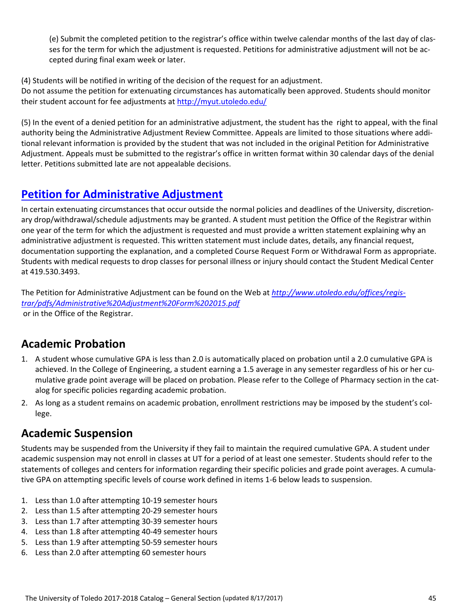(e) Submit the completed petition to the registrar's office within twelve calendar months of the last day of clas‐ ses for the term for which the adjustment is requested. Petitions for administrative adjustment will not be ac‐ cepted during final exam week or later.

(4) Students will be notified in writing of the decision of the request for an adjustment.

Do not assume the petition for extenuating circumstances has automatically been approved. Students should monitor their student account for fee adjustments at http://myut.utoledo.edu/

(5) In the event of a denied petition for an administrative adjustment, the student has the right to appeal, with the final authority being the Administrative Adjustment Review Committee. Appeals are limited to those situations where addi‐ tional relevant information is provided by the student that was not included in the original Petition for Administrative Adjustment. Appeals must be submitted to the registrar's office in written format within 30 calendar days of the denial letter. Petitions submitted late are not appealable decisions.

### **Petition for Administrative Adjustment**

In certain extenuating circumstances that occur outside the normal policies and deadlines of the University, discretionary drop/withdrawal/schedule adjustments may be granted. A student must petition the Office of the Registrar within one year of the term for which the adjustment is requested and must provide a written statement explaining why an administrative adjustment is requested. This written statement must include dates, details, any financial request, documentation supporting the explanation, and a completed Course Request Form or Withdrawal Form as appropriate. Students with medical requests to drop classes for personal illness or injury should contact the Student Medical Center at 419.530.3493.

The Petition for Administrative Adjustment can be found on the Web at *http://www.utoledo.edu/offices/regis‐ trar/pdfs/Administrative%20Adjustment%20Form%202015.pdf* or in the Office of the Registrar.

### **Academic Probation**

- 1. A student whose cumulative GPA is less than 2.0 is automatically placed on probation until a 2.0 cumulative GPA is achieved. In the College of Engineering, a student earning a 1.5 average in any semester regardless of his or her cumulative grade point average will be placed on probation. Please refer to the College of Pharmacy section in the cat‐ alog for specific policies regarding academic probation.
- 2. As long as a student remains on academic probation, enrollment restrictions may be imposed by the student's college.

### **Academic Suspension**

Students may be suspended from the University if they fail to maintain the required cumulative GPA. A student under academic suspension may not enroll in classes at UT for a period of at least one semester. Students should refer to the statements of colleges and centers for information regarding their specific policies and grade point averages. A cumula‐ tive GPA on attempting specific levels of course work defined in items 1‐6 below leads to suspension.

- 1. Less than 1.0 after attempting 10‐19 semester hours
- 2. Less than 1.5 after attempting 20‐29 semester hours
- 3. Less than 1.7 after attempting 30‐39 semester hours
- 4. Less than 1.8 after attempting 40‐49 semester hours
- 5. Less than 1.9 after attempting 50‐59 semester hours
- 6. Less than 2.0 after attempting 60 semester hours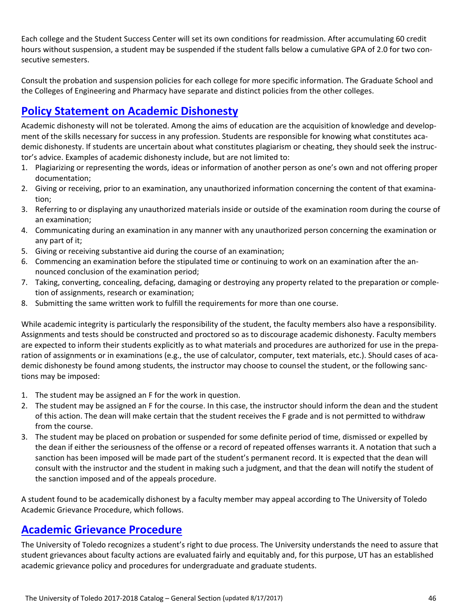Each college and the Student Success Center will set its own conditions for readmission. After accumulating 60 credit hours without suspension, a student may be suspended if the student falls below a cumulative GPA of 2.0 for two consecutive semesters.

Consult the probation and suspension policies for each college for more specific information. The Graduate School and the Colleges of Engineering and Pharmacy have separate and distinct policies from the other colleges.

### **Policy Statement on Academic Dishonesty**

Academic dishonesty will not be tolerated. Among the aims of education are the acquisition of knowledge and develop‐ ment of the skills necessary for success in any profession. Students are responsible for knowing what constitutes academic dishonesty. If students are uncertain about what constitutes plagiarism or cheating, they should seek the instructor's advice. Examples of academic dishonesty include, but are not limited to:

- 1. Plagiarizing or representing the words, ideas or information of another person as one's own and not offering proper documentation;
- 2. Giving or receiving, prior to an examination, any unauthorized information concerning the content of that examination;
- 3. Referring to or displaying any unauthorized materials inside or outside of the examination room during the course of an examination;
- 4. Communicating during an examination in any manner with any unauthorized person concerning the examination or any part of it;
- 5. Giving or receiving substantive aid during the course of an examination;
- 6. Commencing an examination before the stipulated time or continuing to work on an examination after the an‐ nounced conclusion of the examination period;
- 7. Taking, converting, concealing, defacing, damaging or destroying any property related to the preparation or comple‐ tion of assignments, research or examination;
- 8. Submitting the same written work to fulfill the requirements for more than one course.

While academic integrity is particularly the responsibility of the student, the faculty members also have a responsibility. Assignments and tests should be constructed and proctored so as to discourage academic dishonesty. Faculty members are expected to inform their students explicitly as to what materials and procedures are authorized for use in the preparation of assignments or in examinations (e.g., the use of calculator, computer, text materials, etc.). Should cases of academic dishonesty be found among students, the instructor may choose to counsel the student, or the following sanc‐ tions may be imposed:

- 1. The student may be assigned an F for the work in question.
- 2. The student may be assigned an F for the course. In this case, the instructor should inform the dean and the student of this action. The dean will make certain that the student receives the F grade and is not permitted to withdraw from the course.
- 3. The student may be placed on probation or suspended for some definite period of time, dismissed or expelled by the dean if either the seriousness of the offense or a record of repeated offenses warrants it. A notation that such a sanction has been imposed will be made part of the student's permanent record. It is expected that the dean will consult with the instructor and the student in making such a judgment, and that the dean will notify the student of the sanction imposed and of the appeals procedure.

A student found to be academically dishonest by a faculty member may appeal according to The University of Toledo Academic Grievance Procedure, which follows.

### **Academic Grievance Procedure**

The University of Toledo recognizes a student's right to due process. The University understands the need to assure that student grievances about faculty actions are evaluated fairly and equitably and, for this purpose, UT has an established academic grievance policy and procedures for undergraduate and graduate students.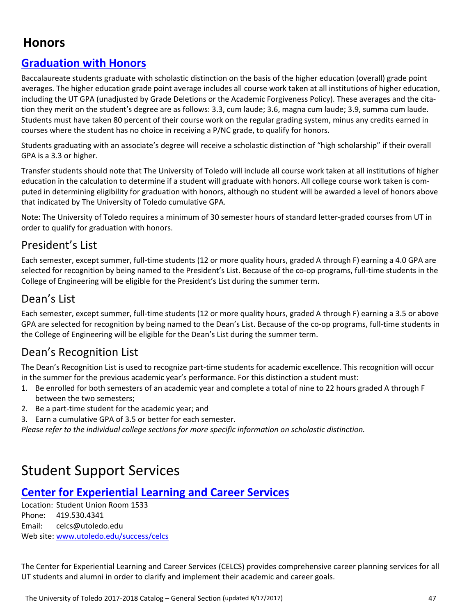# **Honors**

### **Graduation with Honors**

Baccalaureate students graduate with scholastic distinction on the basis of the higher education (overall) grade point averages. The higher education grade point average includes all course work taken at all institutions of higher education, including the UT GPA (unadjusted by Grade Deletions or the Academic Forgiveness Policy). These averages and the cita‐ tion they merit on the student's degree are as follows: 3.3, cum laude; 3.6, magna cum laude; 3.9, summa cum laude. Students must have taken 80 percent of their course work on the regular grading system, minus any credits earned in courses where the student has no choice in receiving a P/NC grade, to qualify for honors.

Students graduating with an associate's degree will receive a scholastic distinction of "high scholarship" if their overall GPA is a 3.3 or higher.

Transfer students should note that The University of Toledo will include all course work taken at all institutions of higher education in the calculation to determine if a student will graduate with honors. All college course work taken is computed in determining eligibility for graduation with honors, although no student will be awarded a level of honors above that indicated by The University of Toledo cumulative GPA.

Note: The University of Toledo requires a minimum of 30 semester hours of standard letter‐graded courses from UT in order to qualify for graduation with honors.

### President's List

Each semester, except summer, full‐time students (12 or more quality hours, graded A through F) earning a 4.0 GPA are selected for recognition by being named to the President's List. Because of the co-op programs, full-time students in the College of Engineering will be eligible for the President's List during the summer term.

### Dean's List

Each semester, except summer, full-time students (12 or more quality hours, graded A through F) earning a 3.5 or above GPA are selected for recognition by being named to the Dean's List. Because of the co-op programs, full-time students in the College of Engineering will be eligible for the Dean's List during the summer term.

### Dean's Recognition List

The Dean's Recognition List is used to recognize part‐time students for academic excellence. This recognition will occur in the summer for the previous academic year's performance. For this distinction a student must:

- 1. Be enrolled for both semesters of an academic year and complete a total of nine to 22 hours graded A through F between the two semesters;
- 2. Be a part-time student for the academic year; and
- 3. Earn a cumulative GPA of 3.5 or better for each semester.

*Please refer to the individual college sections for more specific information on scholastic distinction.*

# Student Support Services

### **Center for Experiential Learning and Career Services**

Location: Student Union Room 1533 Phone: 419.530.4341 Email: celcs@utoledo.edu Web site: www.utoledo.edu/success/celcs

The Center for Experiential Learning and Career Services (CELCS) provides comprehensive career planning services for all UT students and alumni in order to clarify and implement their academic and career goals.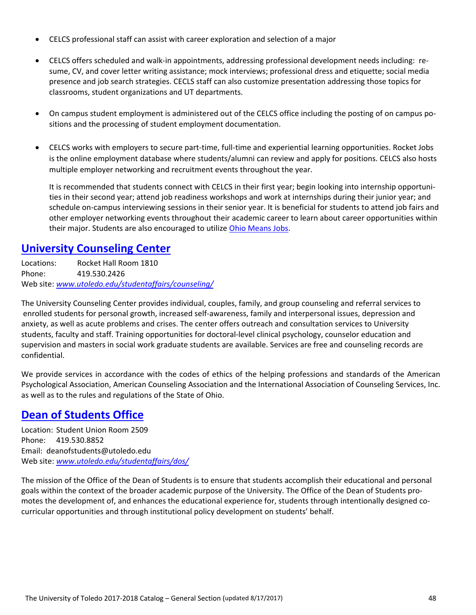- CELCS professional staff can assist with career exploration and selection of a major
- CELCS offers scheduled and walk-in appointments, addressing professional development needs including: re– sume, CV, and cover letter writing assistance; mock interviews; professional dress and etiquette; social media presence and job search strategies. CECLS staff can also customize presentation addressing those topics for classrooms, student organizations and UT departments.
- On campus student employment is administered out of the CELCS office including the posting of on campus positions and the processing of student employment documentation.
- CELCS works with employers to secure part-time, full-time and experiential learning opportunities. Rocket Jobs is the online employment database where students/alumni can review and apply for positions. CELCS also hosts multiple employer networking and recruitment events throughout the year.

It is recommended that students connect with CELCS in their first year; begin looking into internship opportunities in their second year; attend job readiness workshops and work at internships during their junior year; and schedule on-campus interviewing sessions in their senior year. It is beneficial for students to attend job fairs and other employer networking events throughout their academic career to learn about career opportunities within their major. Students are also encouraged to utilize Ohio Means Jobs.

### **University Counseling Center**

Locations: Rocket Hall Room 1810 Phone: 419.530.2426 Web site: *www.utoledo.edu/studentaffairs/counseling/*

The University Counseling Center provides individual, couples, family, and group counseling and referral services to enrolled students for personal growth, increased self‐awareness, family and interpersonal issues, depression and anxiety, as well as acute problems and crises. The center offers outreach and consultation services to University students, faculty and staff. Training opportunities for doctoral‐level clinical psychology, counselor education and supervision and masters in social work graduate students are available. Services are free and counseling records are confidential.

We provide services in accordance with the codes of ethics of the helping professions and standards of the American Psychological Association, American Counseling Association and the International Association of Counseling Services, Inc. as well as to the rules and regulations of the State of Ohio.

### **Dean of Students Office**

Location: Student Union Room 2509 Phone: 419.530.8852 Email: deanofstudents@utoledo.edu Web site: *www.utoledo.edu/studentaffairs/dos/*

The mission of the Office of the Dean of Students is to ensure that students accomplish their educational and personal goals within the context of the broader academic purpose of the University. The Office of the Dean of Students promotes the development of, and enhances the educational experience for, students through intentionally designed cocurricular opportunities and through institutional policy development on students' behalf.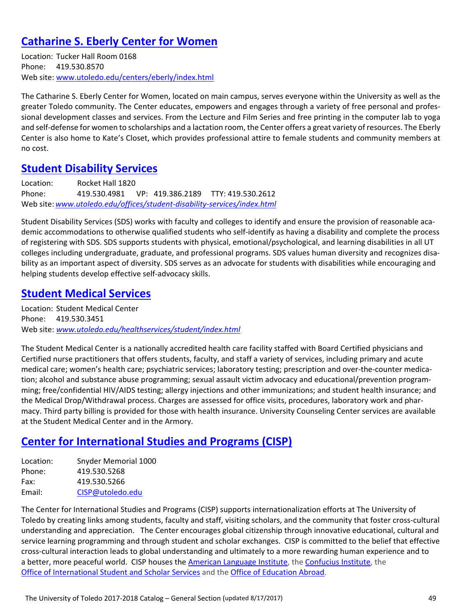### **Catharine S. Eberly Center for Women**

Location: Tucker Hall Room 0168 Phone: 419.530.8570 Web site: www.utoledo.edu/centers/eberly/index.html

The Catharine S. Eberly Center for Women, located on main campus, serves everyone within the University as well as the greater Toledo community. The Center educates, empowers and engages through a variety of free personal and profes‐ sional development classes and services. From the Lecture and Film Series and free printing in the computer lab to yoga and self-defense for women to scholarships and a lactation room, the Center offers a great variety of resources. The Eberly Center is also home to Kate's Closet, which provides professional attire to female students and community members at no cost.

### **Student Disability Services**

Location: Rocket Hall 1820 Phone: 419.530.4981 VP: 419.386.2189 TTY: 419.530.2612 Web site:*www.utoledo.edu/offices/student‐disability‐services/index.html*

Student Disability Services (SDS) works with faculty and colleges to identify and ensure the provision of reasonable aca‐ demic accommodations to otherwise qualified students who self-identify as having a disability and complete the process of registering with SDS. SDS supports students with physical, emotional/psychological, and learning disabilities in all UT colleges including undergraduate, graduate, and professional programs. SDS values human diversity and recognizes disa‐ bility as an important aspect of diversity. SDS serves as an advocate for students with disabilities while encouraging and helping students develop effective self‐advocacy skills.

### **Student Medical Services**

Location: Student Medical Center Phone: 419.530.3451 Web site: *www.utoledo.edu/healthservices/student/index.html*

The Student Medical Center is a nationally accredited health care facility staffed with Board Certified physicians and Certified nurse practitioners that offers students, faculty, and staff a variety of services, including primary and acute medical care; women's health care; psychiatric services; laboratory testing; prescription and over-the-counter medication; alcohol and substance abuse programming; sexual assault victim advocacy and educational/prevention program‐ ming; free/confidential HIV/AIDS testing; allergy injections and other immunizations; and student health insurance; and the Medical Drop/Withdrawal process. Charges are assessed for office visits, procedures, laboratory work and phar‐ macy. Third party billing is provided for those with health insurance. University Counseling Center services are available at the Student Medical Center and in the Armory.

### **Center for International Studies and Programs (CISP)**

| Location: | Snyder Memorial 1000 |
|-----------|----------------------|
| Phone:    | 419.530.5268         |
| Fax:      | 419.530.5266         |
| Email:    | CISP@utoledo.edu     |

The Center for International Studies and Programs (CISP) supports internationalization efforts at The University of Toledo by creating links among students, faculty and staff, visiting scholars, and the community that foster cross‐cultural understanding and appreciation. The Center encourages global citizenship through innovative educational, cultural and service learning programming and through student and scholar exchanges. CISP is committed to the belief that effective cross‐cultural interaction leads to global understanding and ultimately to a more rewarding human experience and to a better, more peaceful world. CISP houses the American Language Institute, the Confucius Institute, the Office of International Student and Scholar Services and the Office of Education Abroad.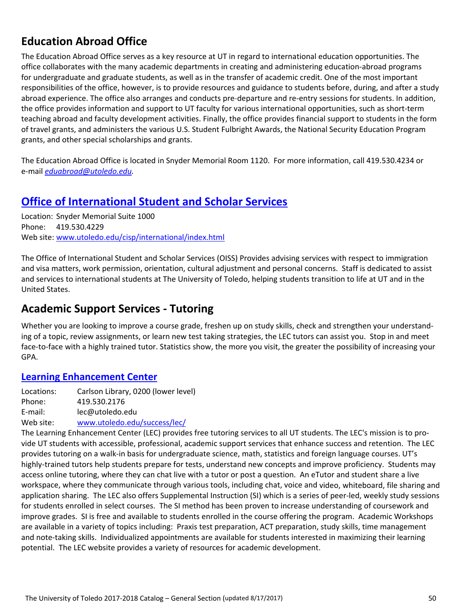# **Education Abroad Office**

The Education Abroad Office serves as a key resource at UT in regard to international education opportunities. The office collaborates with the many academic departments in creating and administering education‐abroad programs for undergraduate and graduate students, as well as in the transfer of academic credit. One of the most important responsibilities of the office, however, is to provide resources and guidance to students before, during, and after a study abroad experience. The office also arranges and conducts pre‐departure and re‐entry sessions for students. In addition, the office provides information and support to UT faculty for various international opportunities, such as short-term teaching abroad and faculty development activities. Finally, the office provides financial support to students in the form of travel grants, and administers the various U.S. Student Fulbright Awards, the National Security Education Program grants, and other special scholarships and grants.

The Education Abroad Office is located in Snyder Memorial Room 1120. For more information, call 419.530.4234 or e‐mail *eduabroad@utoledo.edu.*

### **Office of International Student and Scholar Services**

Location: Snyder Memorial Suite 1000 Phone: 419.530.4229 Web site: www.utoledo.edu/cisp/international/index.html

The Office of International Student and Scholar Services (OISS) Provides advising services with respect to immigration and visa matters, work permission, orientation, cultural adjustment and personal concerns. Staff is dedicated to assist and services to international students at The University of Toledo, helping students transition to life at UT and in the United States.

### **Academic Support Services ‐ Tutoring**

Whether you are looking to improve a course grade, freshen up on study skills, check and strengthen your understanding of a topic, review assignments, or learn new test taking strategies, the LEC tutors can assist you. Stop in and meet face-to-face with a highly trained tutor. Statistics show, the more you visit, the greater the possibility of increasing your GPA.

### **Learning Enhancement Center**

Locations: Carlson Library, 0200 (lower level) Phone: 419.530.2176 E‐mail: lec@utoledo.edu

Web site: www.utoledo.edu/success/lec/

The Learning Enhancement Center (LEC) provides free tutoring services to all UT students. The LEC's mission is to pro‐ vide UT students with accessible, professional, academic support services that enhance success and retention. The LEC provides tutoring on a walk‐in basis for undergraduate science, math, statistics and foreign language courses. UT's highly-trained tutors help students prepare for tests, understand new concepts and improve proficiency. Students may access online tutoring, where they can chat live with a tutor or post a question. An eTutor and student share a live workspace, where they communicate through various tools, including chat, voice and video, whiteboard, file sharing and application sharing. The LEC also offers Supplemental Instruction (SI) which is a series of peer‐led, weekly study sessions for students enrolled in select courses. The SI method has been proven to increase understanding of coursework and improve grades. SI is free and available to students enrolled in the course offering the program. Academic Workshops are available in a variety of topics including: Praxis test preparation, ACT preparation, study skills, time management and note-taking skills. Individualized appointments are available for students interested in maximizing their learning potential. The LEC website provides a variety of resources for academic development.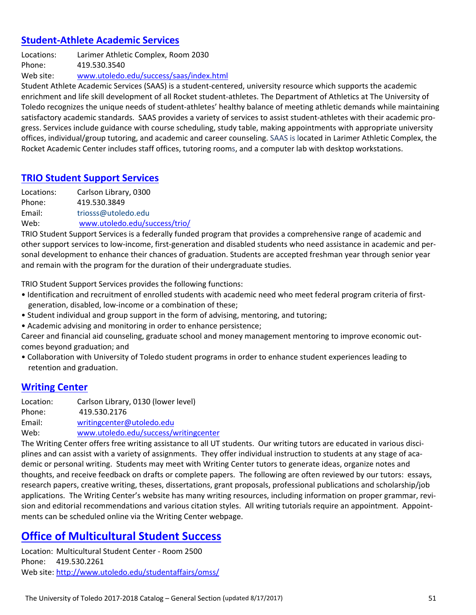### **Student‐Athlete Academic Services**

Locations: Larimer Athletic Complex, Room 2030 Phone: 419.530.3540 Web site: www.utoledo.edu/success/saas/index.html

Student Athlete Academic Services (SAAS) is a student‐centered, university resource which supports the academic enrichment and life skill development of all Rocket student‐athletes. The Department of Athletics at The University of Toledo recognizes the unique needs of student‐athletes' healthy balance of meeting athletic demands while maintaining satisfactory academic standards. SAAS provides a variety of services to assist student-athletes with their academic progress. Services include guidance with course scheduling, study table, making appointments with appropriate university offices, individual/group tutoring, and academic and career counseling. SAAS is located in Larimer Athletic Complex, the Rocket Academic Center includes staff offices, tutoring rooms, and a computer lab with desktop workstations.

### **TRIO Student Support Services**

Locations: Carlson Library, 0300 Phone: 419.530.3849 Email: triosss@utoledo.edu Web: www.utoledo.edu/success/trio/

TRIO Student Support Services is a federally funded program that provides a comprehensive range of academic and other support services to low‐income, first‐generation and disabled students who need assistance in academic and per‐ sonal development to enhance their chances of graduation. Students are accepted freshman year through senior year and remain with the program for the duration of their undergraduate studies.

TRIO Student Support Services provides the following functions:

- Identification and recruitment of enrolled students with academic need who meet federal program criteria of first‐ generation, disabled, low‐income or a combination of these;
- Student individual and group support in the form of advising, mentoring, and tutoring;
- Academic advising and monitoring in order to enhance persistence;

Career and financial aid counseling, graduate school and money management mentoring to improve economic out‐ comes beyond graduation; and

• Collaboration with University of Toledo student programs in order to enhance student experiences leading to retention and graduation.

### **Writing Center**

Location: Carlson Library, 0130 (lower level) Phone: 419.530.2176 Email: writingcenter@utoledo.edu Web: www.utoledo.edu/success/writingcenter

The Writing Center offers free writing assistance to all UT students. Our writing tutors are educated in various disciplines and can assist with a variety of assignments. They offer individual instruction to students at any stage of aca‐ demic or personal writing. Students may meet with Writing Center tutors to generate ideas, organize notes and thoughts, and receive feedback on drafts or complete papers. The following are often reviewed by our tutors: essays, research papers, creative writing, theses, dissertations, grant proposals, professional publications and scholarship/job applications. The Writing Center's website has many writing resources, including information on proper grammar, revision and editorial recommendations and various citation styles. All writing tutorials require an appointment. Appointments can be scheduled online via the Writing Center webpage.

### **Office of Multicultural Student Success**

Location: Multicultural Student Center ‐ Room 2500 Phone: 419.530.2261 Web site: http://www.utoledo.edu/studentaffairs/omss/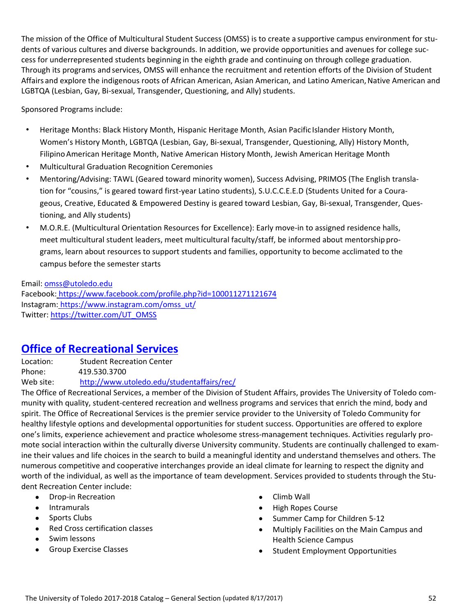The mission of the Office of Multicultural Student Success (OMSS) is to create a supportive campus environment for stu‐ dents of various cultures and diverse backgrounds. In addition, we provide opportunities and avenues for college success for underrepresented students beginning in the eighth grade and continuing on through college graduation. Through its programs and services, OMSS will enhance the recruitment and retention efforts of the Division of Student Affairs and explore the indigenous roots of African American, Asian American, and Latino American, Native American and LGBTQA (Lesbian, Gay, Bi-sexual, Transgender, Questioning, and Ally) students.

Sponsored Programs include:

- Heritage Months: Black History Month, Hispanic Heritage Month, Asian Pacific Islander History Month, Women's History Month, LGBTQA (Lesbian, Gay, Bi‐sexual, Transgender, Questioning, Ally) History Month, FilipinoAmerican Heritage Month, Native American History Month, Jewish American Heritage Month
- Multicultural Graduation Recognition Ceremonies
- Mentoring/Advising: TAWL (Geared toward minority women), Success Advising, PRIMOS (The English transla‐ tion for "cousins," is geared toward first-year Latino students), S.U.C.C.E.E.D (Students United for a Courageous, Creative, Educated & Empowered Destiny is geared toward Lesbian, Gay, Bi‐sexual, Transgender, Ques‐ tioning, and Ally students)
- M.O.R.E. (Multicultural Orientation Resources for Excellence): Early move‐in to assigned residence halls, meet multicultural student leaders, meet multicultural faculty/staff, be informed about mentorship programs, learn about resources to support students and families, opportunity to become acclimated to the campus before the semester starts

Email: omss@utoledo.edu Facebook: https://www.facebook.com/profile.php?id=100011271121674 Instagram: https://www.instagram.com/omss\_ut/ Twitter: https://twitter.com/UT\_OMSS

### **Office of Recreational Services**

Location: Student Recreation Center Phone: 419.530.3700 Web site: http://www.utoledo.edu/studentaffairs/rec/

The Office of Recreational Services, a member of the Division of Student Affairs, provides The University of Toledo com‐ munity with quality, student‐centered recreation and wellness programs and services that enrich the mind, body and spirit. The Office of Recreational Services is the premier service provider to the University of Toledo Community for healthy lifestyle options and developmental opportunities for student success. Opportunities are offered to explore one's limits, experience achievement and practice wholesome stress-management techniques. Activities regularly promote social interaction within the culturally diverse University community. Students are continually challenged to examine their values and life choices in the search to build a meaningful identity and understand themselves and others. The numerous competitive and cooperative interchanges provide an ideal climate for learning to respect the dignity and worth of the individual, as well as the importance of team development. Services provided to students through the Student Recreation Center include:

- Drop-in Recreation
- Intramurals
- Sports Clubs
- Red Cross certification classes
- Swim lessons
- **•** Group Exercise Classes
- Climb Wall
- High Ropes Course
- Summer Camp for Children 5-12
- Multiply Facilities on the Main Campus and Health Science Campus
- Student Employment Opportunities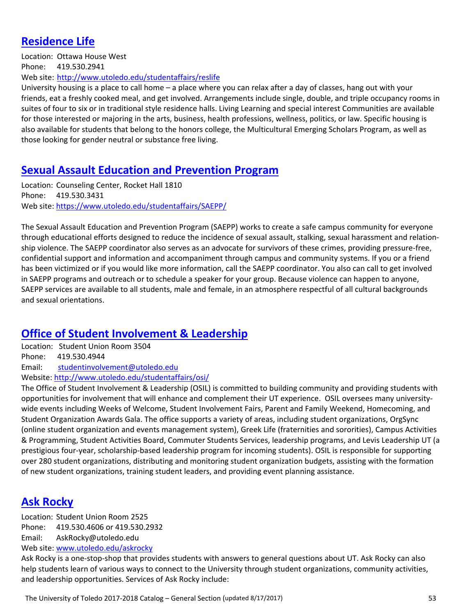### **Residence Life**

Location: Ottawa House West Phone: 419.530.2941 Web site: http://www.utoledo.edu/studentaffairs/reslife

University housing is a place to call home – a place where you can relax after a day of classes, hang out with your friends, eat a freshly cooked meal, and get involved. Arrangements include single, double, and triple occupancy rooms in suites of four to six or in traditional style residence halls. Living Learning and special interest Communities are available for those interested or majoring in the arts, business, health professions, wellness, politics, or law. Specific housing is also available for students that belong to the honors college, the Multicultural Emerging Scholars Program, as well as those looking for gender neutral or substance free living.

### **Sexual Assault Education and Prevention Program**

Location: Counseling Center, Rocket Hall 1810 Phone: 419.530.3431 Web site: https://www.utoledo.edu/studentaffairs/SAEPP/

The Sexual Assault Education and Prevention Program (SAEPP) works to create a safe campus community for everyone through educational efforts designed to reduce the incidence of sexual assault, stalking, sexual harassment and relation‐ ship violence. The SAEPP coordinator also serves as an advocate for survivors of these crimes, providing pressure‐free, confidential support and information and accompaniment through campus and community systems. If you or a friend has been victimized or if you would like more information, call the SAEPP coordinator. You also can call to get involved in SAEPP programs and outreach or to schedule a speaker for your group. Because violence can happen to anyone, SAEPP services are available to all students, male and female, in an atmosphere respectful of all cultural backgrounds and sexual orientations.

### **Office of Student Involvement & Leadership**

Location: Student Union Room 3504 Phone: 419.530.4944 Email: studentinvolvement@utoledo.edu

Website: http://www.utoledo.edu/studentaffairs/osi/

The Office of Student Involvement & Leadership (OSIL) is committed to building community and providing students with opportunities for involvement that will enhance and complement their UT experience. OSIL oversees many university‐ wide events including Weeks of Welcome, Student Involvement Fairs, Parent and Family Weekend, Homecoming, and Student Organization Awards Gala. The office supports a variety of areas, including student organizations, OrgSync (online student organization and events management system), Greek Life (fraternities and sororities), Campus Activities & Programming, Student Activities Board, Commuter Students Services, leadership programs, and Levis Leadership UT (a prestigious four‐year, scholarship‐based leadership program for incoming students). OSIL is responsible for supporting over 280 student organizations, distributing and monitoring student organization budgets, assisting with the formation of new student organizations, training student leaders, and providing event planning assistance.

### **Ask Rocky**

Location: Student Union Room 2525 Phone: 419.530.4606 or 419.530.2932 Email: AskRocky@utoledo.edu Web site: www.utoledo.edu/askrocky

Ask Rocky is a one‐stop‐shop that provides students with answers to general questions about UT. Ask Rocky can also help students learn of various ways to connect to the University through student organizations, community activities, and leadership opportunities. Services of Ask Rocky include: